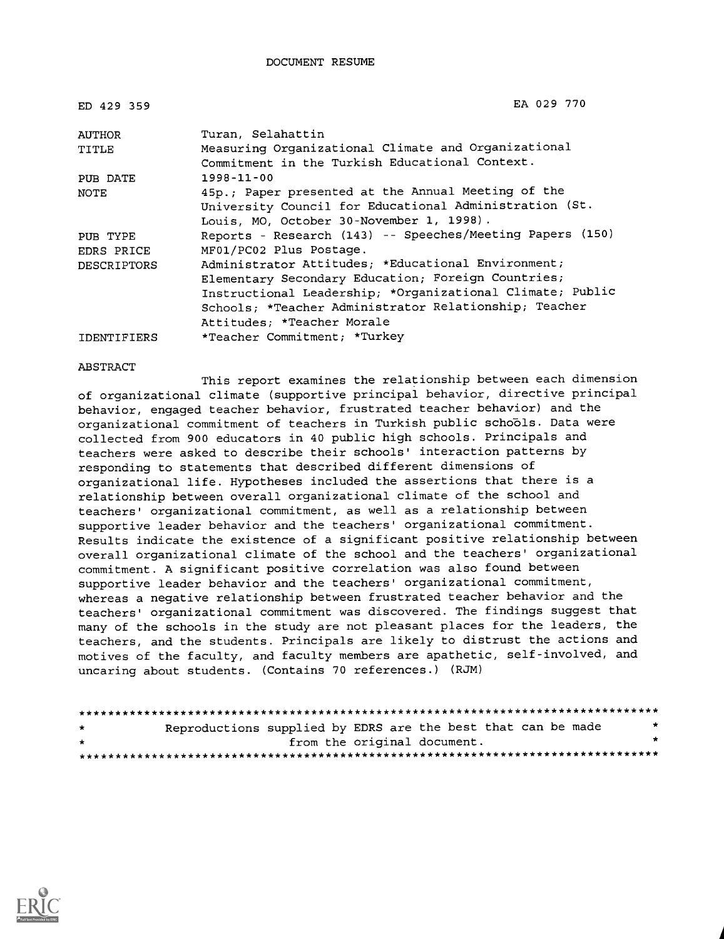DOCUMENT RESUME

| ED 429 359         | EA 029 770                                                |
|--------------------|-----------------------------------------------------------|
| AUTHOR             | Turan, Selahattin                                         |
| TITLE              | Measuring Organizational Climate and Organizational       |
|                    | Commitment in the Turkish Educational Context.            |
| PUB DATE           | $1998 - 11 - 00$                                          |
| NOTE               | 45p.; Paper presented at the Annual Meeting of the        |
|                    | University Council for Educational Administration (St.    |
|                    | Louis, MO, October 30-November 1, 1998).                  |
| PUB TYPE           | Reports - Research (143) -- Speeches/Meeting Papers (150) |
| EDRS PRICE         | MF01/PC02 Plus Postage.                                   |
| <b>DESCRIPTORS</b> | Administrator Attitudes; *Educational Environment;        |
|                    | Elementary Secondary Education; Foreign Countries;        |
|                    | Instructional Leadership; *Organizational Climate; Public |
|                    | Schools; *Teacher Administrator Relationship; Teacher     |
|                    | Attitudes; *Teacher Morale                                |
| IDENTIFIERS        | *Teacher Commitment; *Turkey                              |

#### ABSTRACT

This report examines the relationship between each dimension of organizational climate (supportive principal behavior, directive principal behavior, engaged teacher behavior, frustrated teacher behavior) and the organizational commitment of teachers in Turkish public schools. Data were collected from 900 educators in 40 public high schools. Principals and teachers were asked to describe their schools' interaction patterns by responding to statements that described different dimensions of organizational life. Hypotheses included the assertions that there is a relationship between overall organizational climate of the school and teachers' organizational commitment, as well as a relationship between supportive leader behavior and the teachers' organizational commitment. Results indicate the existence of a significant positive relationship between overall organizational climate of the school and the teachers' organizational commitment. A significant positive correlation was also found between supportive leader behavior and the teachers' organizational commitment, whereas a negative relationship between frustrated teacher behavior and the teachers' organizational commitment was discovered. The findings suggest that many of the schools in the study are not pleasant places for the leaders, the teachers, and the students. Principals are likely to distrust the actions and motives of the faculty, and faculty members are apathetic, self-involved, and uncaring about students. (Contains 70 references.) (RJM)

| $\star$ | Reproductions supplied by EDRS are the best that can be made |                             |  |  | * |
|---------|--------------------------------------------------------------|-----------------------------|--|--|---|
| $\star$ |                                                              | from the original document. |  |  |   |
|         |                                                              |                             |  |  |   |

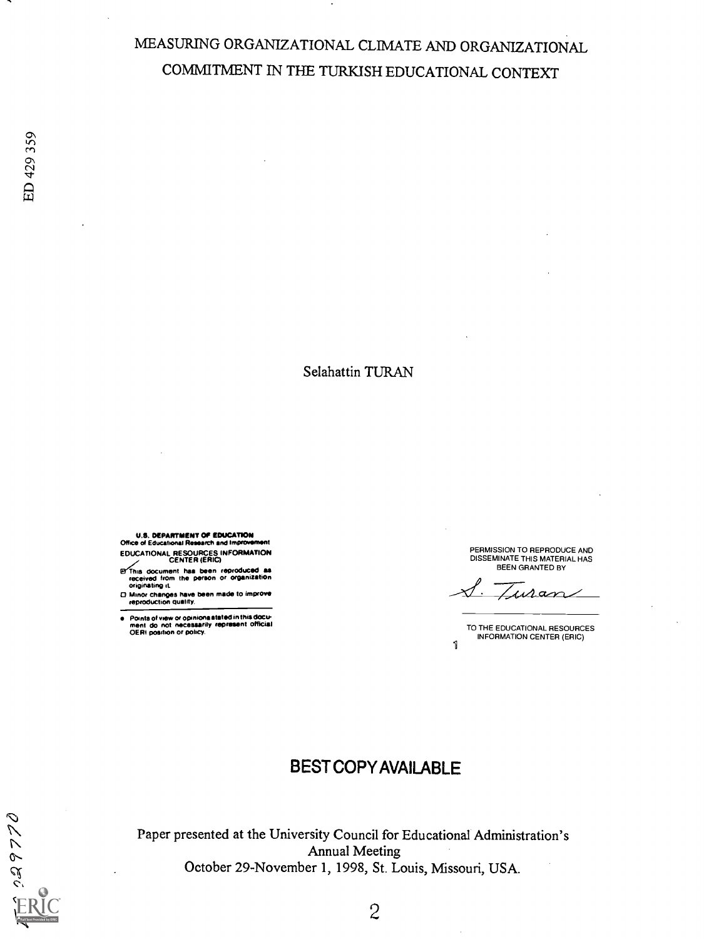# MEASURING ORGANIZATIONAL CLIMATE AND ORGANIZATIONAL COMMITMENT IN THE TURKISH EDUCATIONAL CONTEXT

Selahattin TURAN

U.S. DEPARTMENT OP EDUCATION Office of Educational Research and Improvement EDUCATIONAL RESOURCES INFORMATION CENTER (ERIC)

**EYThis document has been reproduced as<br>received from the person or organization**<br>originating it.

0 Minor changes have been made to improve reproduction quality.

 $\bullet$ Points of view or opinions stated in this docu-<br>ment ido inot inecessarily represent official<br>OERI position or policy. PERMISSION TO REPRODUCE AND DISSEMINATE THIS MATERIAL HAS BEEN GRANTED BY

suran

1 TO THE EDUCATIONAL RESOURCES INFORMATION CENTER (ERIC)

# BESTCOPYAVAILABLE

026680  $\frac{2}{3}$ 

Paper presented at the University Council for Educational Administration's Annual Meeting October 29-November 1, 1998, St. Louis, Missouri, USA.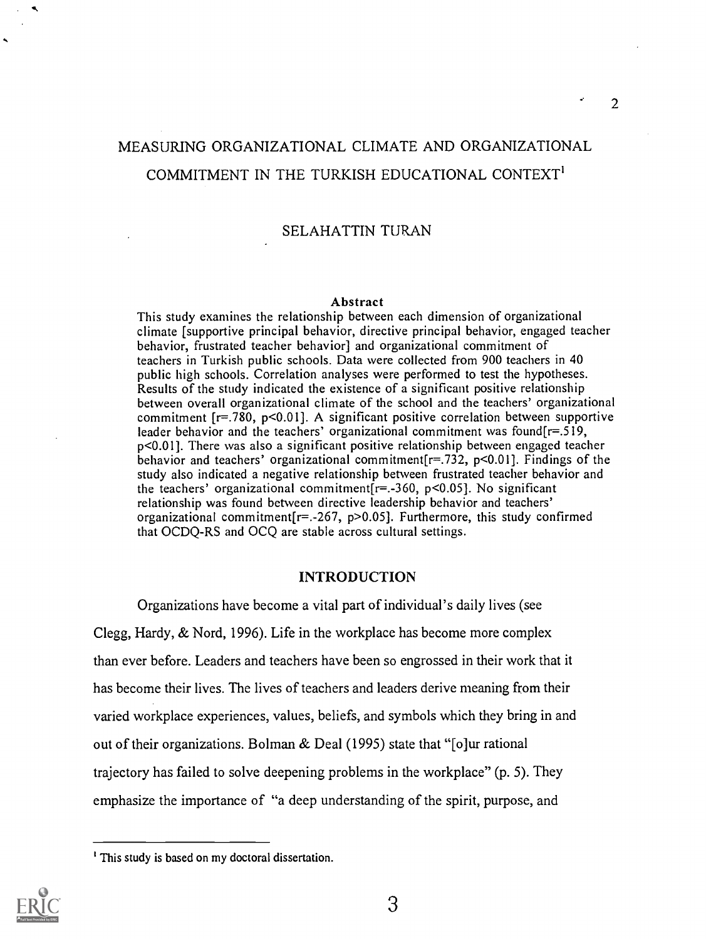# MEASURING ORGANIZATIONAL CLIMATE AND ORGANIZATIONAL COMMITMENT IN THE TURKISH EDUCATIONAL CONTEXT'

### SELAHATTIN TURAN

#### Abstract

This study examines the relationship between each dimension of organizational climate [supportive principal behavior, directive principal behavior, engaged teacher behavior, frustrated teacher behavior] and organizational commitment of teachers in Turkish public schools. Data were collected from 900 teachers in 40 public high schools. Correlation analyses were performed to test the hypotheses. Results of the study indicated the existence of a significant positive relationship between overall organizational climate of the school and the teachers' organizational commitment [r=.780, p<0.0l]. A significant positive correlation between supportive leader behavior and the teachers' organizational commitment was found[r=.519, p<0.01]. There was also a significant positive relationship between engaged teacher behavior and teachers' organizational commitment  $[r=.732, p<0.01]$ . Findings of the study also indicated a negative relationship between frustrated teacher behavior and the teachers' organizational commitment $[r=.360, p<0.05]$ . No significant relationship was found between directive leadership behavior and teachers' organizational commitment[r=.-267, p>0.05]. Furthermore, this study confirmed that OCDQ-RS and OCQ are stable across cultural settings.

#### INTRODUCTION

Organizations have become a vital part of individual's daily lives (see Clegg, Hardy, & Nord, 1996). Life in the workplace has become more complex than ever before. Leaders and teachers have been so engrossed in their work that it has become their lives. The lives of teachers and leaders derive meaning from their varied workplace experiences, values, beliefs, and symbols which they bring in and out of their organizations. Bolman & Deal (1995) state that "[o]ur rational trajectory has failed to solve deepening problems in the workplace" (p. 5). They emphasize the importance of "a deep understanding of the spirit, purpose, and

<sup>&</sup>lt;sup>1</sup> This study is based on my doctoral dissertation.



 $\overline{2}$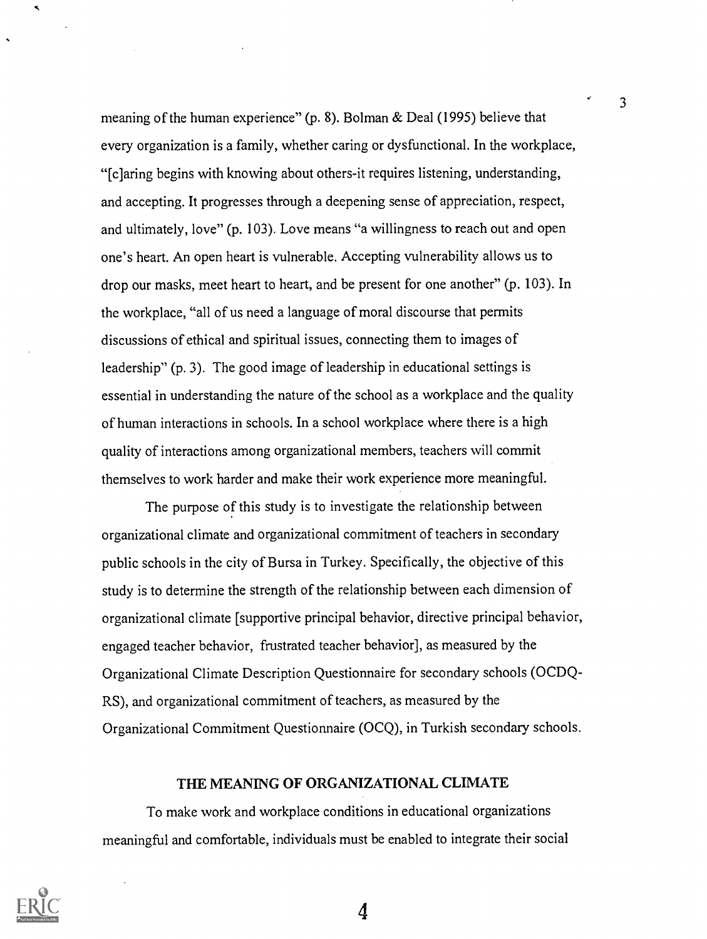meaning of the human experience" (p. 8). Bolman & Deal (1995) believe that evety organization is a family, whether caring or dysfunctional. In the workplace, "[c]aring begins with knowing about others-it requires listening, understanding, and accepting. It progresses through a deepening sense of appreciation, respect, and ultimately, love" (p. 103). Love means "a willingness to reach out and open one's heart. An open heart is vulnerable. Accepting vulnerability allows us to drop our masks, meet heart to heart, and be present for one another" (p. 103). In the workplace, "all of us need a language of moral discourse that permits discussions of ethical and spiritual issues, connecting them to images of leadership" (p. 3). The good image of leadership in educational settings is essential in understanding the nature of the school as a workplace and the quality of human interactions in schools. In a school workplace where there is a high quality of interactions among organizational members, teachers will commit themselves to work harder and make their work experience more meaningful.

3

The purpose of this study is to investigate the relationship between organizational climate and organizational commitment of teachers in secondary public schools in the city of Bursa in Turkey. Specifically, the objective of this study is to determine the strength of the relationship between each dimension of organizational climate [supportive principal behavior, directive principal behavior, engaged teacher behavior, frustrated teacher behavior], as measured by the Organizational Climate Description Questionnaire for secondary schools (OCDQ-RS), and organizational commitment of teachers, as measured by the Organizational Commitment Questionnaire (OCQ), in Turkish secondary schools.

## THE MEANING OF ORGANIZATIONAL CLIMATE

To make work and workplace conditions in educational organizations meaningful and comfortable, individuals must be enabled to integrate their social



 $\blacktriangleleft$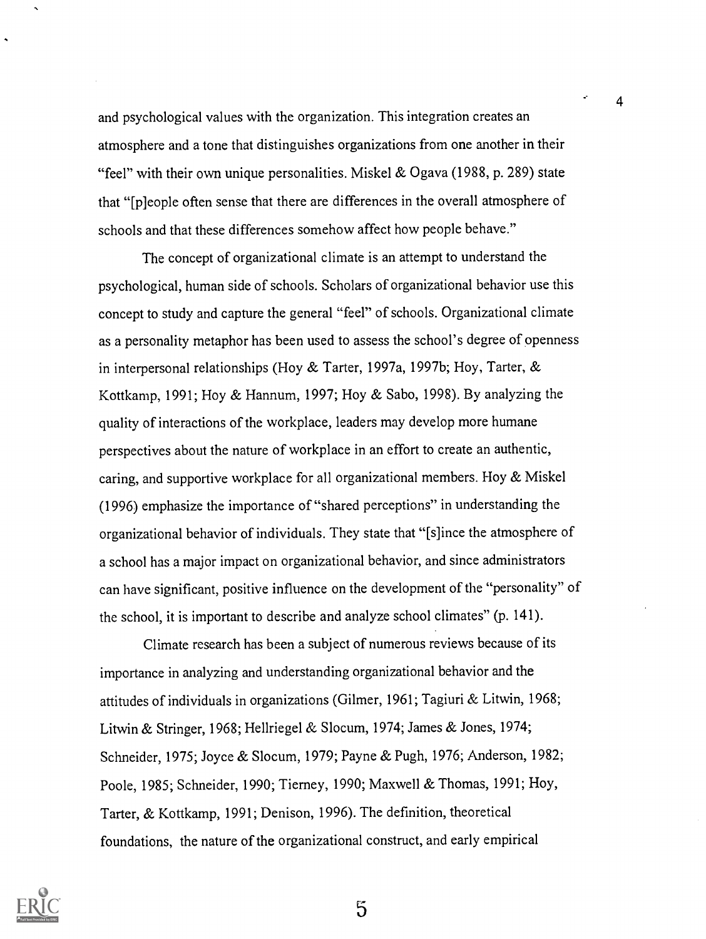and psychological values with the organization. This integration creates an atmosphere and a tone that distinguishes organizations from one another in their "feel" with their own unique personalities. Miskel & Ogava (1988, p. 289) state that "[p]eople often sense that there are differences in the overall atmosphere of schools and that these differences somehow affect how people behave."

The concept of organizational climate is an attempt to understand the psychological, human side of schools. Scholars of organizational behavior use this concept to study and capture the general "feel" of schools. Organizational climate as a personality metaphor has been used to assess the school's degree of openness in interpersonal relationships (Hoy & Tarter, 1997a, 1997b; Hoy, Tarter, & Kottkamp, 1991; Hoy & Hannum, 1997; Hoy & Sabo, 1998). By analyzing the quality of interactions of the workplace, leaders may develop more humane perspectives about the nature of workplace in an effort to create an authentic, caring, and supportive workplace for all organizational members. Hoy & Miskel (1996) emphasize the importance of "shared perceptions" in understanding the organizational behavior of individuals. They state that "[s]ince the atmosphere of a school has a major impact on organizational behavior, and since administrators can have significant, positive influence on the development of the "personality" of the school, it is important to describe and analyze school climates" (p. 141).

Climate research has been a subject of numerous reviews because of its importance in analyzing and understanding organizational behavior and the attitudes of individuals in organizations (Gilmer, 1961; Tagiuri & Litwin, 1968; Litwin & Stringer, 1968; Hellriegel & Slocum, 1974; James & Jones, 1974; Schneider, 1975; Joyce & Slocum, 1979; Payne & Pugh, 1976; Anderson, 1982; Poole, 1985; Schneider, 1990; Tierney, 1990; Maxwell & Thomas, 1991; Hoy, Tarter, & Kottkamp, 1991; Denison, 1996). The definition, theoretical foundations, the nature of the organizational construct, and early empirical

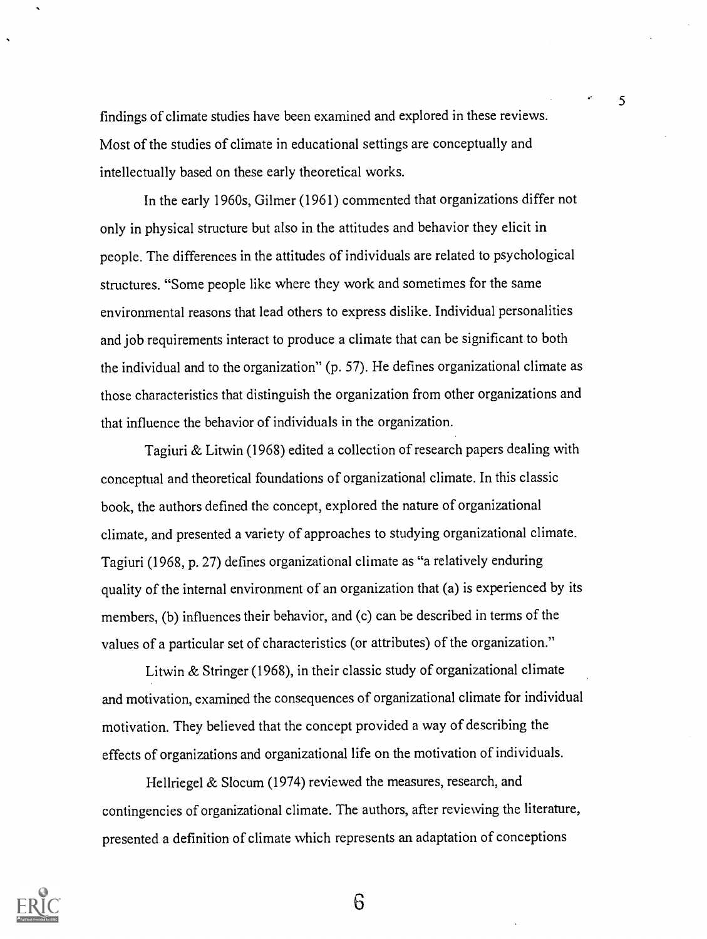findings of climate studies have been examined and explored in these reviews. Most of the studies of climate in educational settings are conceptually and intellectually based on these early theoretical works.

5

In the early 1960s, Gilmer (1961) commented that organizations differ not only in physical structure but also in the attitudes and behavior they elicit in people. The differences in the attitudes of individuals are related to psychological structures. "Some people like where they work and sometimes for the same environmental reasons that lead others to express dislike. Individual personalities and job requirements interact to produce a climate that can be significant to both the individual and to the organization" (p. 57). He defines organizational climate as those characteristics that distinguish the organization from other organizations and that influence the behavior of individuals in the organization.

Tagiuri & Litwin (1968) edited a collection of research papers dealing with conceptual and theoretical foundations of organizational climate. In this classic book, the authors defined the concept, explored the nature of organizational climate, and presented a variety of approaches to studying organizational climate. Tagiuri (1968, p. 27) defines organizational climate as "a relatively enduring quality of the internal environment of an organization that (a) is experienced by its members, (b) influences their behavior, and (c) can be described in terms of the values of a particular set of characteristics (or attributes) of the organization."

Litwin & Stringer (1968), in their classic study of organizational climate and motivation, examined the consequences of organizational climate for individual motivation. They believed that the concept provided a way of describing the effects of organizations and organizational life on the motivation of individuals.

Hellriegel & Slocum (1974) reviewed the measures, research, and contingencies of organizational climate. The authors, after reviewing the literature, presented a definition of climate which represents an adaptation of conceptions

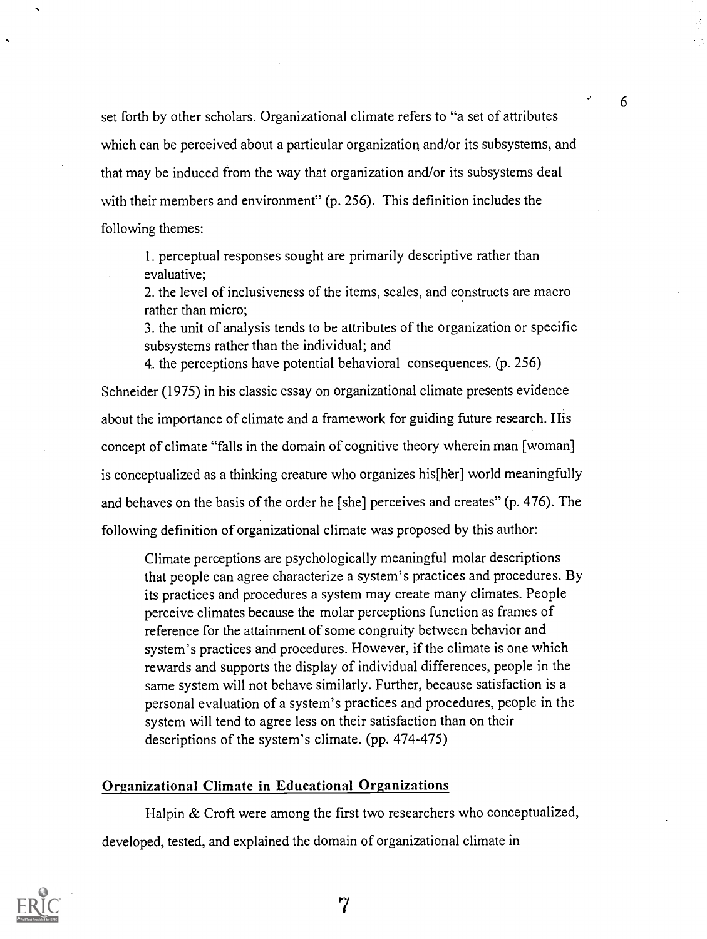set forth by other scholars. Organizational climate refers to "a set of attributes which can be perceived about a particular organization and/or its subsystems, and that may be induced from the way that organization and/or its subsystems deal with their members and environment" (p. 256). This definition includes the following themes:

1. perceptual responses sought are primarily descriptive rather than evaluative;

2. the level of inclusiveness of the items, scales, and constructs are macro rather than micro;

3. the unit of analysis tends to be attributes of the organization or specific subsystems rather than the individual; and

4. the perceptions have potential behavioral consequences. (p. 256)

Schneider (1975) in his classic essay on organizational climate presents evidence about the importance of climate and a framework for guiding future research. His concept of climate "falls in the domain of cognitive theory wherein man [woman] is conceptualized as a thinking creature who organizes his [her] world meaningfully and behaves on the basis of the order he [she] perceives and creates" (p. 476). The following definition of organizational climate was proposed by this author:

Climate perceptions are psychologically meaningful molar descriptions that people can agree characterize a system's practices and procedures. By its practices and procedures a system may create many climates. People perceive climates because the molar perceptions function as frames of reference for the attainment of some congruity between behavior and system's practices and procedures. However, if the climate is one which rewards and supports the display of individual differences, people in the same system will not behave similarly. Further, because satisfaction is a personal evaluation of a system's practices and procedures, people in the system will tend to agree less on their satisfaction than on their descriptions of the system's climate. (pp. 474-475)

## Organizational Climate in Educational Organizations

Halpin & Croft were among the first two researchers who conceptualized, developed, tested, and explained the domain of organizational climate in

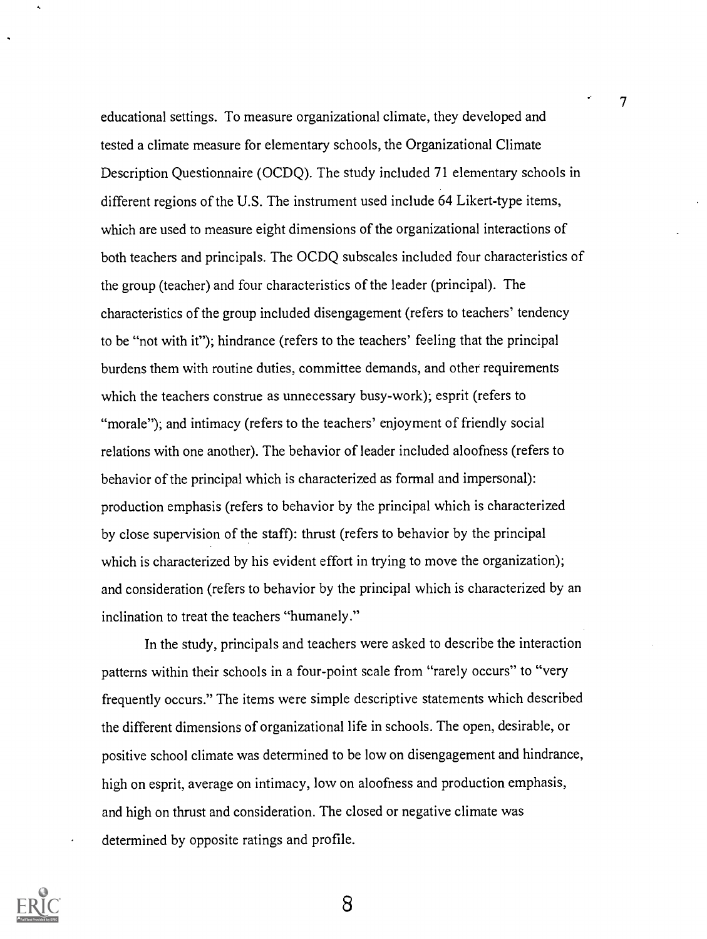educational settings. To measure organizational climate, they developed and tested a climate measure for elementary schools, the Organizational Climate Description Questionnaire (OCDQ). The study included 71 elementary schools in different regions of the U.S. The instrument used include 64 Likert-type items, which are used to measure eight dimensions of the organizational interactions of both teachers and principals. The OCDQ subscales included four characteristics of the group (teacher) and four characteristics of the leader (principal). The characteristics of the group included disengagement (refers to teachers' tendency to be "not with it"); hindrance (refers to the teachers' feeling that the principal burdens them with routine duties, committee demands, and other requirements which the teachers construe as unnecessary busy-work); esprit (refers to "morale"); and intimacy (refers to the teachers' enjoyment of friendly social relations with one another). The behavior of leader included aloofness (refers to behavior of the principal which is characterized as formal and impersonal): production emphasis (refers to behavior by the principal which is characterized by close supervision of the staff): thrust (refers to behavior by the principal which is characterized by his evident effort in trying to move the organization); and consideration (refers to behavior by the principal which is characterized by an inclination to treat the teachers "humanely."

7

In the study, principals and teachers were asked to describe the interaction patterns within their schools in a four-point scale from "rarely occurs" to "very frequently occurs." The items were simple descriptive statements which described the different dimensions of organizational life in schools. The open, desirable, or positive school climate was determined to be low on disengagement and hindrance, high on esprit, average on intimacy, low on aloofness and production emphasis, and high on thrust and consideration. The closed or negative climate was determined by opposite ratings and profile.

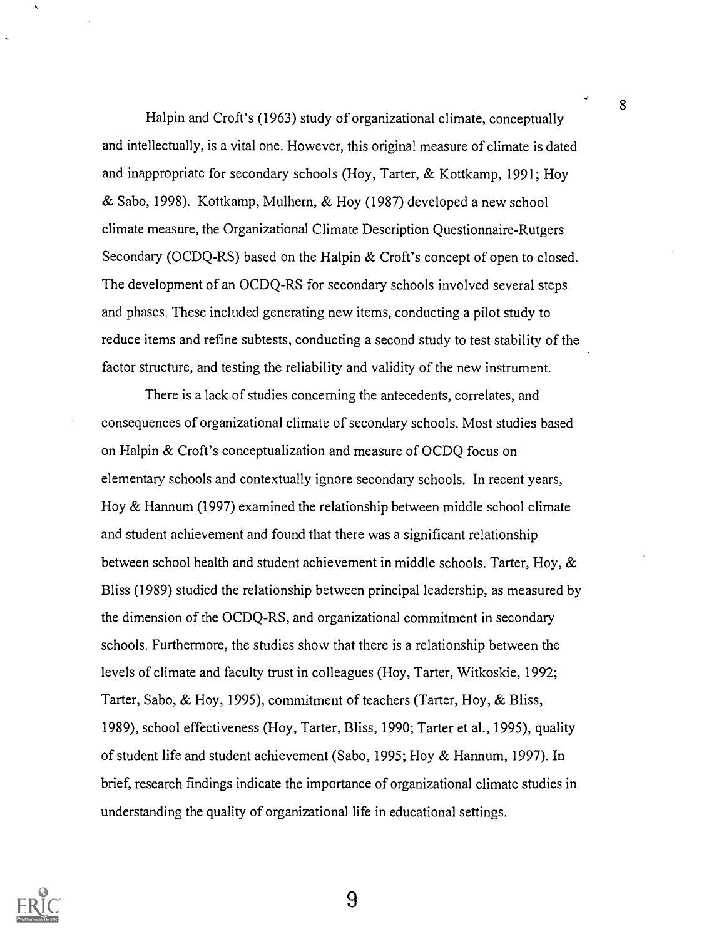Halpin and Croft's (1963) study of organizational climate, conceptually and intellectually, is a vital one. However, this original measure of climate is dated and inappropriate for secondary schools (Hoy, Tarter, & Kottkamp, 1991; Hoy & Sabo, 1998). Kottkamp, Mulhern, & Hoy (1987) developed a new school climate measure, the Organizational Climate Description Questionnaire-Rutgers Secondary (OCDQ-RS) based on the Halpin & Croft's concept of open to closed. The development of an OCDQ-RS for secondary schools involved several steps and phases. These included generating new items, conducting a pilot study to reduce items and refine subtests, conducting a second study to test stability of the factor structure, and testing the reliability and validity of the new instrument.

8

There is a lack of studies concerning the antecedents, correlates, and consequences of organizational climate of secondary schools. Most studies based on Halpin & Croft's conceptualization and measure of OCDQ focus on elementary schools and contextually ignore secondary schools. In recent years, Hoy & Hannum (1997) examined the relationship between middle school climate and student achievement and found that there was a significant relationship between school health and student achievement in middle schools. Tarter, Hoy, & Bliss (1989) studied the relationship between principal leadership, as measured by the dimension of the OCDQ-RS, and organizational commitment in secondary schools. Furthermore, the studies show that there is a relationship between the levels of climate and faculty trust in colleagues (Hoy, Tarter, Witkoskie, 1992; Tarter, Sabo, & Hoy, 1995), commitment of teachers (Tarter, Hoy, & Bliss, 1989), school effectiveness (Hoy, Tarter, Bliss, 1990; Tarter et al., 1995), quality of student life and student achievement (Sabo, 1995; Hoy & Hannum, 1997). In brief, research findings indicate the importance of organizational climate studies in understanding the quality of organizational life in educational settings.

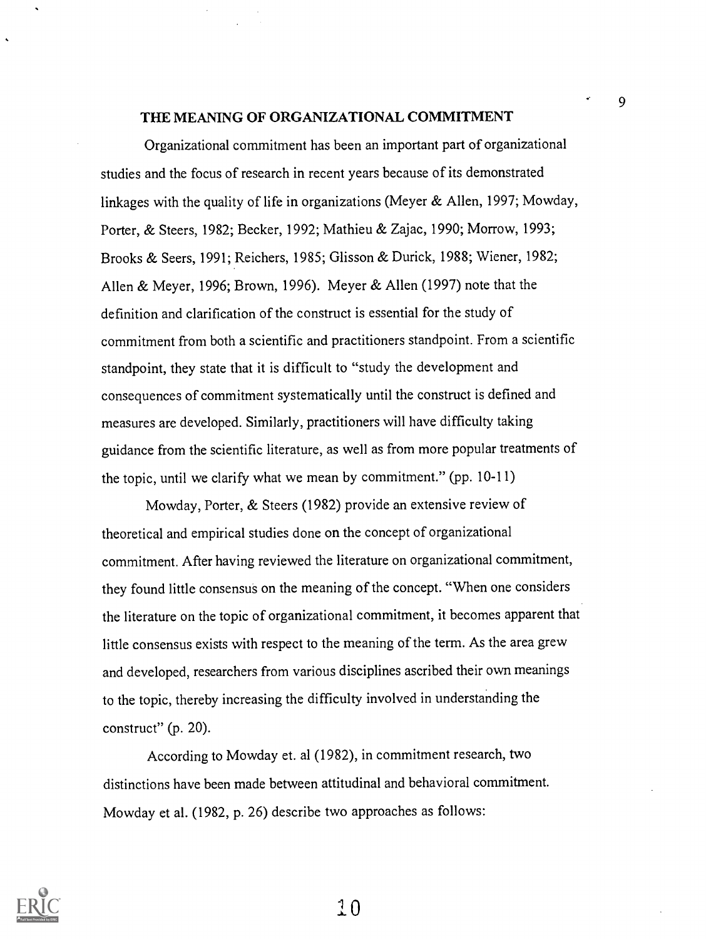#### THE MEANING OF ORGANIZATIONAL COMMITMENT

9

Organizational commitment has been an important part of organizational studies and the focus of research in recent years because of its demonstrated linkages with the quality of life in organizations (Meyer & Allen, 1997; Mowday, Porter, & Steers, 1982; Becker, 1992; Mathieu & Zajac, 1990; Morrow, 1993; Brooks & Seers, 1991; Reichers, 1985; Glisson & Durick, 1988; Wiener, 1982; Allen & Meyer, 1996; Brown, 1996). Meyer & Allen (1997) note that the definition and clarification of the construct is essential for the study of commitment from both a scientific and practitioners standpoint. From a scientific standpoint, they state that it is difficult to "study the development and consequences of commitment systematically until the construct is defined and measures are developed. Similarly, practitioners will have difficulty taking guidance from the scientific literature, as well as from more popular treatments of the topic, until we clarify what we mean by commitment." (pp. 10-11)

Mowday, Porter, & Steers (1982) provide an extensive review of theoretical and empirical studies done on the concept of organizational commitment. After having reviewed the literature on organizational commitment, they found little consensus on the meaning of the concept. "When one considers the literature on the topic of organizational commitment, it becomes apparent that little consensus exists with respect to the meaning of the term. As the area grew and developed, researchers from various disciplines ascribed their own meanings to the topic, thereby increasing the difficulty involved in understanding the construct" (p. 20).

According to Mowday et. al (1982), in commitment research, two distinctions have been made between attitudinal and behavioral commitment. Mowday et al. (1982, p. 26) describe two approaches as follows:

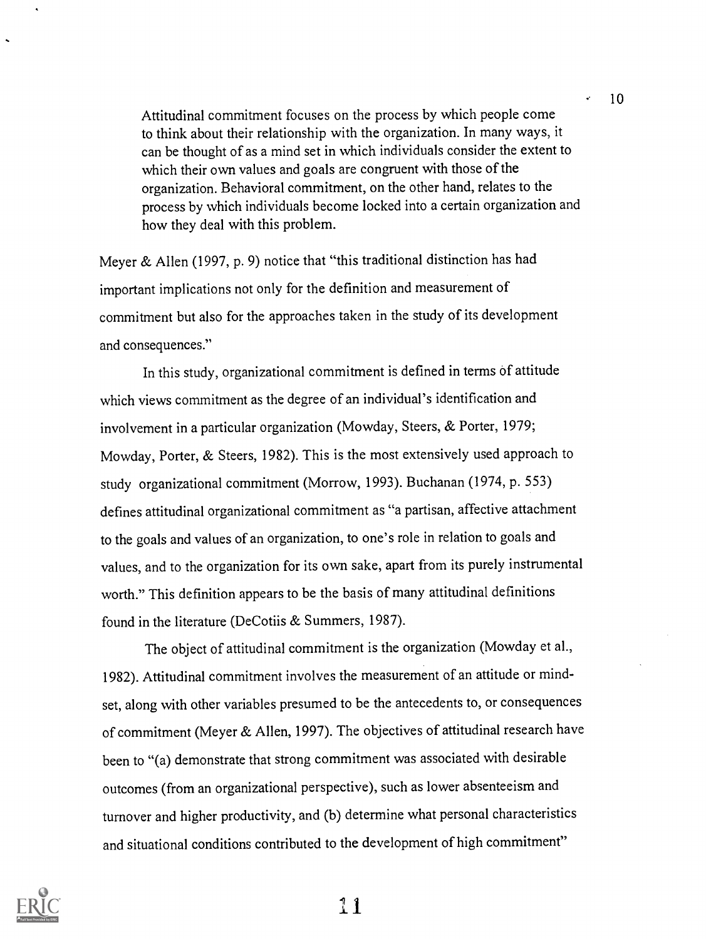Attitudinal commitment focuses on the process by which people come to think about their relationship with the organization. In many ways, it can be thought of as a mind set in which individuals consider the extent to which their own values and goals are congruent with those of the organization. Behavioral commitment, on the other hand, relates to the process by which individuals become locked into a certain organization and how they deal with this problem.

Meyer & Allen (1997, p. 9) notice that "this traditional distinction has had important implications not only for the definition and measurement of commitment but also for the approaches taken in the study of its development and consequences."

In this study, organizational commitment is defined in terms of attitude which views commitment as the degree of an individual's identification and involvement in a particular organization (Mowday, Steers, & Porter, 1979; Mowday, Porter, & Steers, 1982). This is the most extensively used approach to study organizational commitment (Morrow, 1993). Buchanan (1974, p. 553) defines attitudinal organizational commitment as "a partisan, affective attachment to the goals and values of an organization, to one's role in relation to goals and values, and to the organization for its own sake, apart from its purely instrumental worth." This definition appears to be the basis of many attitudinal definitions found in the literature (DeCotiis & Summers, 1987).

The object of attitudinal commitment is the organization (Mowday et al., 1982). Attitudinal commitment involves the measurement of an attitude or mindset, along with other variables presumed to be the antecedents to, or consequences of commitment (Meyer & Allen, 1997). The objectives of attitudinal research have been to "(a) demonstrate that strong commitment was associated with desirable outcomes (from an organizational perspective), such as lower absenteeism and turnover and higher productivity, and (b) determine what personal characteristics and situational conditions contributed to the development of high commitment"

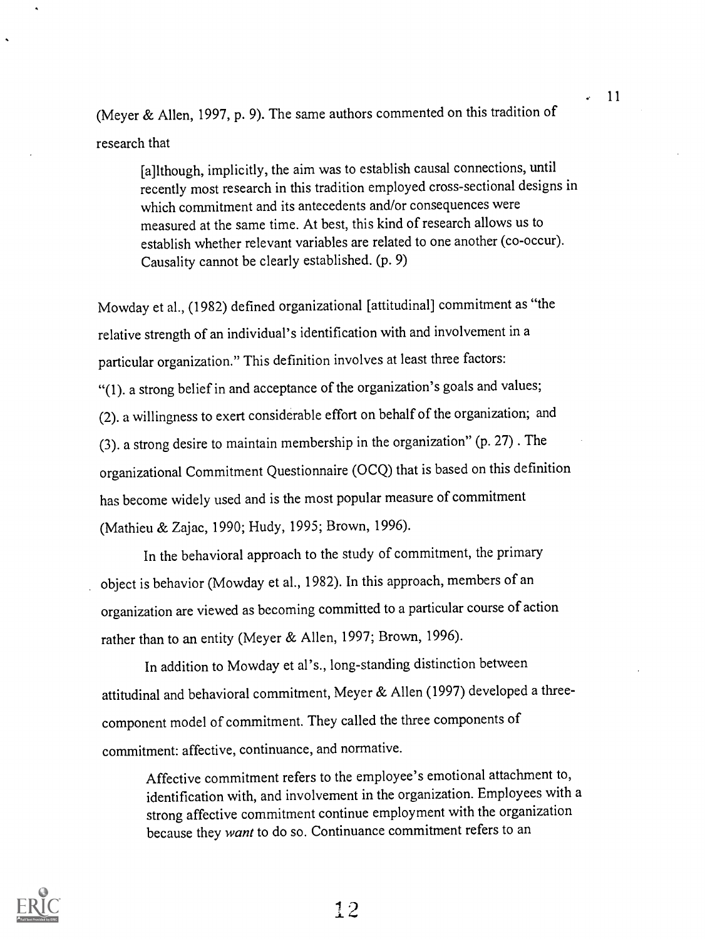(Meyer & Allen, 1997, p. 9). The same authors commented on this tradition of research that

[a]lthough, implicitly, the aim was to establish causal connections, until recently most research in this tradition employed cross-sectional designs in which commitment and its antecedents and/or consequences were measured at the same time. At best, this kind of research allows us to establish whether relevant variables are related to one another (co-occur). Causality cannot be clearly established. (p. 9)

Mowday et al., (1982) defined organizational [attitudinal] commitment as "the relative strength of an individual's identification with and involvement in a particular organization." This definition involves at least three factors: "(1). a strong belief in and acceptance of the organization's goals and values; (2). a willingness to exert considerable effort on behalf of the organization; and (3). a strong desire to maintain membership in the organization" (p. 27) . The organizational Commitment Questionnaire (OCQ) that is based on this definition has become widely used and is the most popular measure of commitment (Mathieu & Zajac, 1990; Hudy, 1995; Brown, 1996).

In the behavioral approach to the study of commitment, the primary object is behavior (Mowday et al., 1982). In this approach, members of an organization are viewed as becoming committed to a particular course of action rather than to an entity (Meyer & Allen, 1997; Brown, 1996).

In addition to Mowday et al's., long-standing distinction between attitudinal and behavioral commitment, Meyer & Allen (1997) developed a threecomponent model of commitment. They called the three components of commitment: affective, continuance, and normative.

Affective commitment refers to the employee's emotional attachment to, identification with, and involvement in the organization. Employees with a strong affective commitment continue employment with the organization because they want to do so. Continuance commitment refers to an



I 2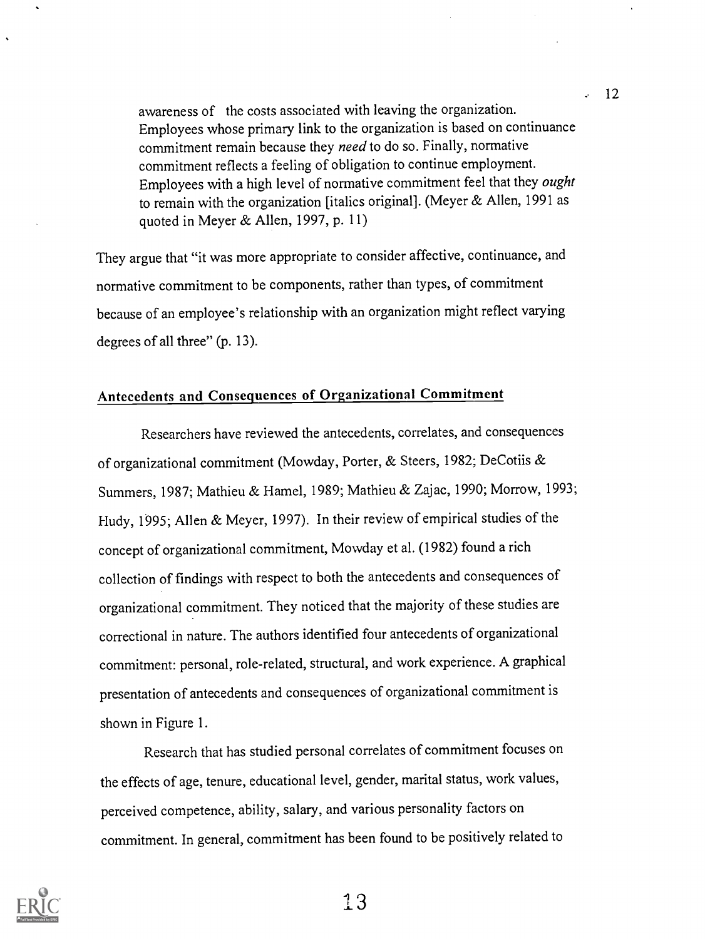awareness of the costs associated with leaving the organization. Employees whose primary link to the organization is based on continuance commitment remain because they need to do so. Finally, normative commitment reflects a feeling of obligation to continue employment. Employees with a high level of normative commitment feel that they ought to remain with the organization [italics original]. (Meyer & Allen, 1991 as quoted in Meyer & Allen, 1997, p. 11)

12

They argue that "it was more appropriate to consider affective, continuance, and normative commitment to be components, rather than types, of commitment because of an employee's relationship with an organization might reflect varying degrees of all three" (p. 13).

## Antecedents and Consequences of Organizational Commitment

Researchers have reviewed the antecedents, correlates, and consequences of organizational commitment (Mowday, Porter, & Steers, 1982; DeCotiis & Summers, 1987; Mathieu & Hamel, 1989; Mathieu & Zajac, 1990; Morrow, 1993; FIudy, 1995; Allen & Meyer, 1997). In their review of empirical studies of the concept of organizational commitment, Mowday et al. (1982) found a rich collection of findings with respect to both the antecedents and consequences of organizational commitment. They noticed that the majority of these studies are correctional in nature. The authors identified four antecedents of organizational commitment: personal, role-related, structural, and work experience. A graphical presentation of antecedents and consequences of organizational commitment is shown in Figure 1.

Research that has studied personal correlates of commitment focuses on the effects of age, tenure, educational level, gender, marital status, work values, perceived competence, ability, salary, and various personality factors on commitment. In general, commitment has been found to be positively related to

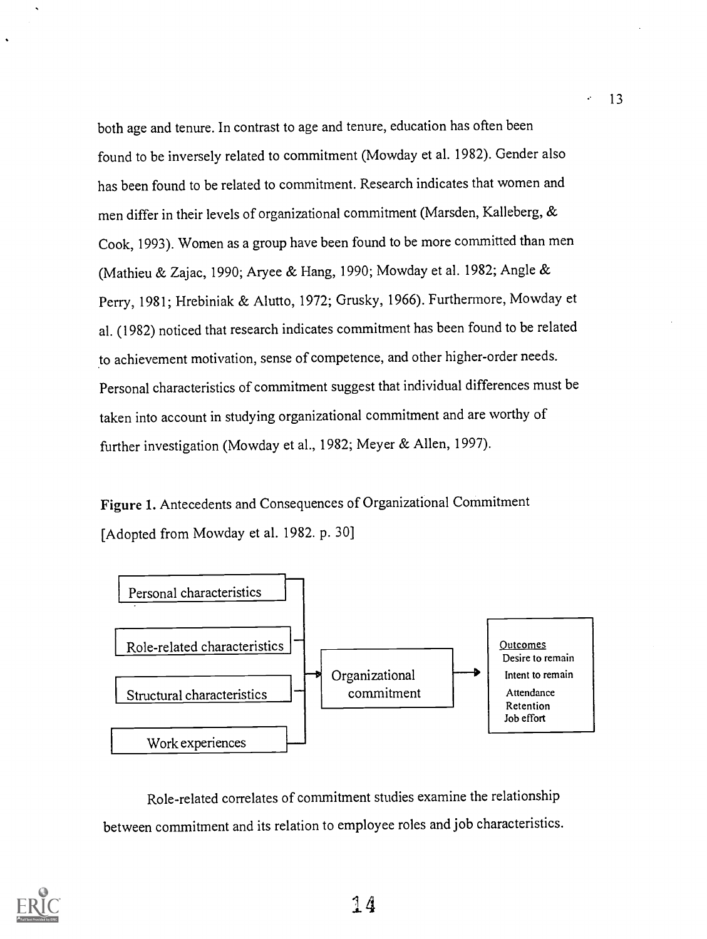both age and tenure. In contrast to age and tenure, education has often been found to be inversely related to commitment (Mowday et al. 1982). Gender also has been found to be related to commitment. Research indicates that women and men differ in their levels of organizational commitment (Marsden, Kalleberg, & Cook, 1993). Women as a group have been found to be more committed than men (Mathieu & Zajac, 1990; Aryee & Hang, 1990; Mowday et al. 1982; Angle & Perry, 1981; Hrebiniak & Alutto, 1972; Grusky, 1966). Furthermore, Mowday et al. (1982) noticed that research indicates commitment has been found to be related to achievement motivation, sense of competence, and other higher-order needs. Personal characteristics of commitment suggest that individual differences must be taken into account in studying organizational commitment and are worthy of further investigation (Mowday et al., 1982; Meyer & Allen, 1997).

Figure 1. Antecedents and Consequences of Organizational Commitment [Adopted from Mowday et al. 1982. p. 30]



Role-related correlates of commitment studies examine the relationship between commitment and its relation to employee roles and job characteristics.

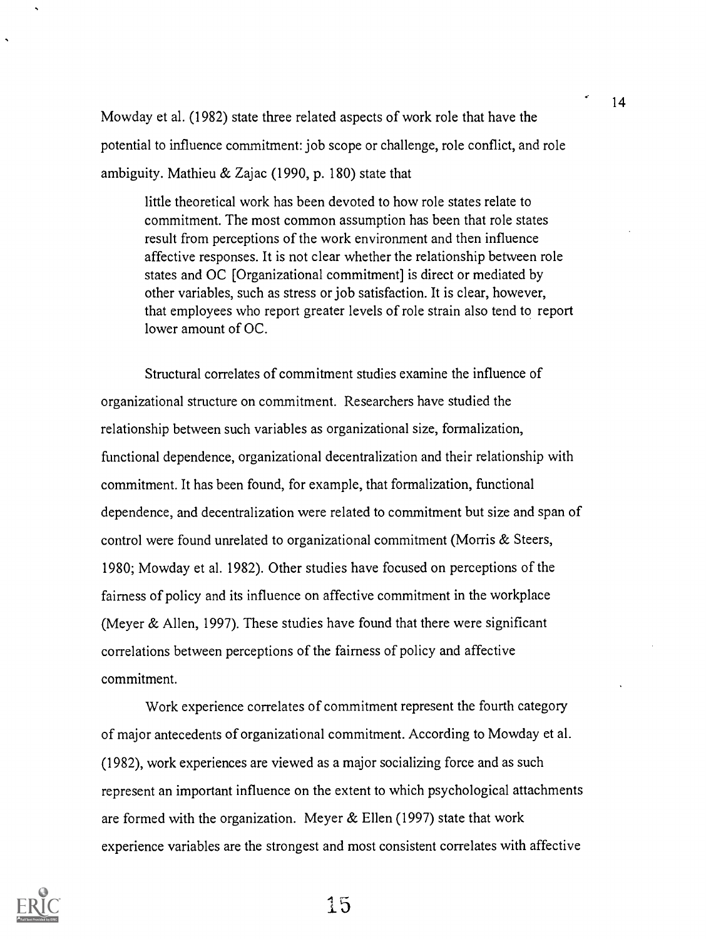Mowday et al. (1982) state three related aspects of work role that have the potential to influence commitment: job scope or challenge, role conflict, and role ambiguity. Mathieu & Zajac (1990, p. 180) state that

little theoretical work has been devoted to how role states relate to commitment. The most common assumption has been that role states result from perceptions of the work environment and then influence affective responses. It is not clear whether the relationship between role states and OC [Organizational commitment] is direct or mediated by other variables, such as stress or job satisfaction. It is clear, however, that employees who report greater levels of role strain also tend to report lower amount of OC.

Structural correlates of commitment studies examine the influence of organizational structure on commitment. Researchers have studied the relationship between such variables as organizational size, formalization, functional dependence, organizational decentralization and their relationship with commitment. It has been found, for example, that formalization, functional dependence, and decentralization were related to commitment but size and span of control were found unrelated to organizational commitment (Morris & Steers, 1980; Mowday et al. 1982). Other studies have focused on perceptions of the fairness of policy and its influence on affective commitment in the workplace (Meyer & Allen, 1997). These studies have found that there were significant correlations between perceptions of the fairness of policy and affective commitment.

Work experience correlates of commitment represent the fourth category of major antecedents of organizational commitment. According to Mowday et al. (1982), work experiences are viewed as a major socializing force and as such represent an important influence on the extent to which psychological attachments are formed with the organization. Meyer  $&$  Ellen (1997) state that work experience variables are the strongest and most consistent correlates with affective

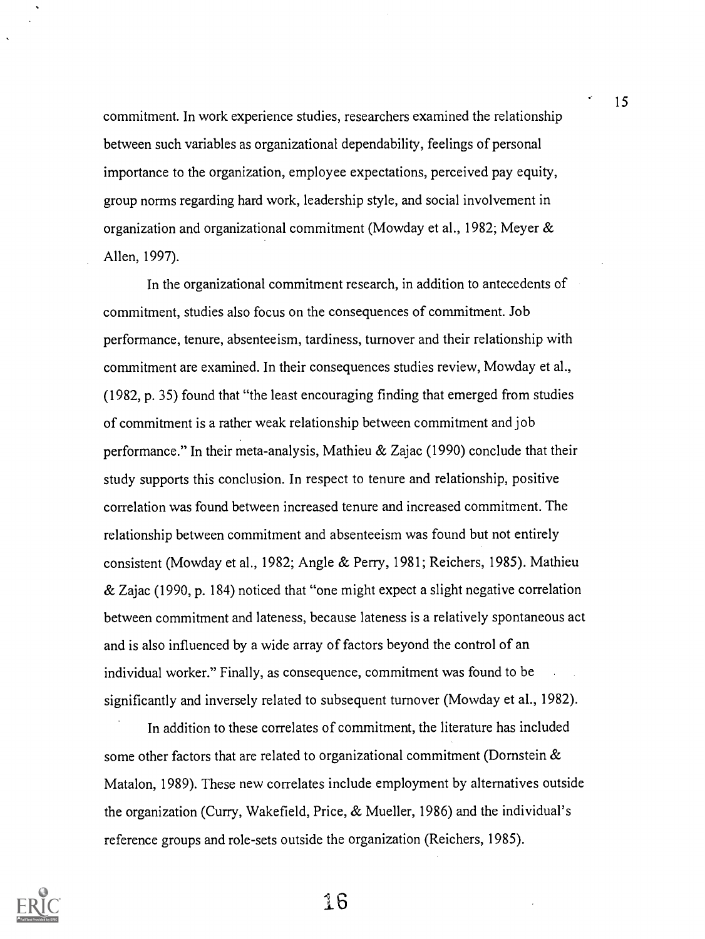commitment. In work experience studies, researchers examined the relationship between such variables as organizational dependability, feelings of personal importance to the organization, employee expectations, perceived pay equity, group norms regarding hard work, leadership style, and social involvement in organization and organizational commitment (Mowday et al., 1982; Meyer  $\&$ Allen, 1997).

In the organizational commitment research, in addition to antecedents of commitment, studies also focus on the consequences of commitment. Job performance, tenure, absenteeism, tardiness, turnover and their relationship with commitment are examined. In their consequences studies review, Mowday et al., (1982, p. 35) found that "the least encouraging finding that emerged from studies of commitment is a rather weak relationship between commitment and job performance." In their meta-analysis, Mathieu & Zajac (1990) conclude that their study supports this conclusion. In respect to tenure and relationship, positive correlation was found between increased tenure and increased commitment. The relationship between commitment and absenteeism was found but not entirely consistent (Mowday et al., 1982; Angle & Perry, 1981; Reichers, 1985). Mathieu & Zajac (1990, p. 184) noticed that "one might expect a slight negative correlation between commitment and lateness, because lateness is a relatively spontaneous act and is also influenced by a wide array of factors beyond the control of an individual worker." Finally, as consequence, commitment was found to be significantly and inversely related to subsequent turnover (Mowday et al., 1982).

In addition to these correlates of commitment, the literature has included some other factors that are related to organizational commitment (Dornstein & Matalon, 1989). These new correlates include employment by alternatives outside the organization (Curry, Wakefield, Price, & Mueller, 1986) and the individual's reference groups and role-sets outside the organization (Reichers, 1985).



<sup>1</sup> 6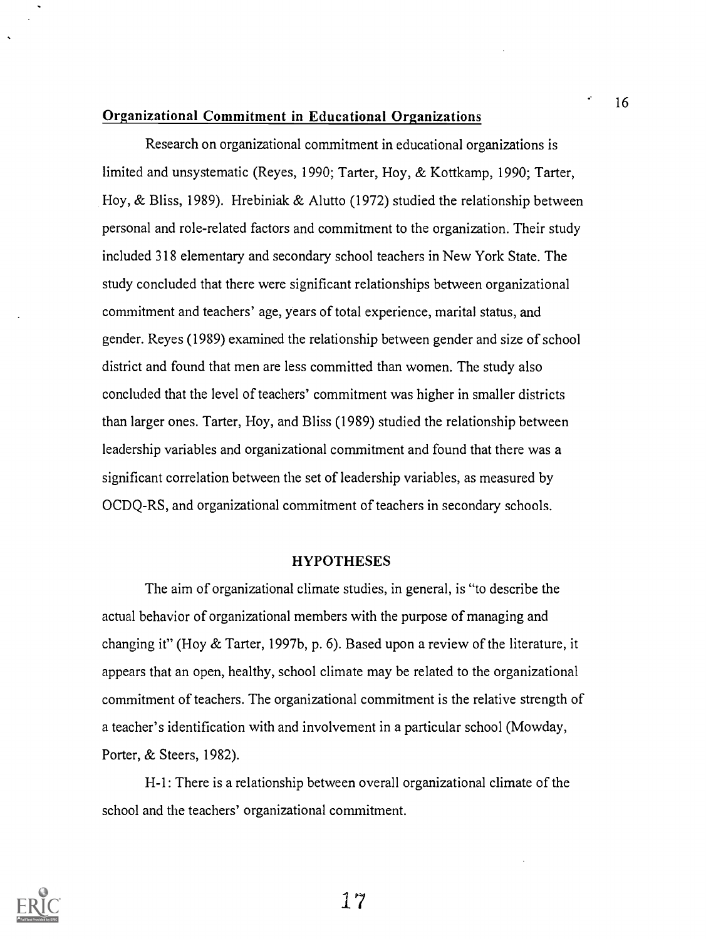#### Organizational Commitment in Educational Organizations

Research on organizational commitment in educational organizations is limited and unsystematic (Reyes, 1990; Tarter, Hoy, & Kottkamp, 1990; Tarter, Hoy, & Bliss, 1989). Hrebiniak & Alutto (1972) studied the relationship between personal and role-related factors and commitment to the organization. Their study included 318 elementary and secondary school teachers in New York State. The study concluded that there were significant relationships between organizational commitment and teachers' age, years of total experience, marital status, and gender. Reyes (1989) examined the relationship between gender and size of school district and found that men are less committed than women. The study also concluded that the level of teachers' commitment was higher in smaller districts than larger ones. Tarter, Hoy, and Bliss (1989) studied the relationship between leadership variables and organizational commitment and found that there was a significant correlation between the set of leadership variables, as measured by OCDQ-RS, and organizational commitment of teachers in secondary schools.

#### HYPOTHESES

The aim of organizational climate studies, in general, is "to describe the actual behavior of organizational members with the purpose of managing and changing it" (Hoy & Tarter, 1997b, p. 6). Based upon a review of the literature, it appears that an open, healthy, school climate may be related to the organizational commitment of teachers. The organizational commitment is the relative strength of a teacher's identification with and involvement in a particular school (Mowday, Porter, & Steers, 1982).

H-1: There is a relationship between overall organizational climate of the school and the teachers' organizational commitment.

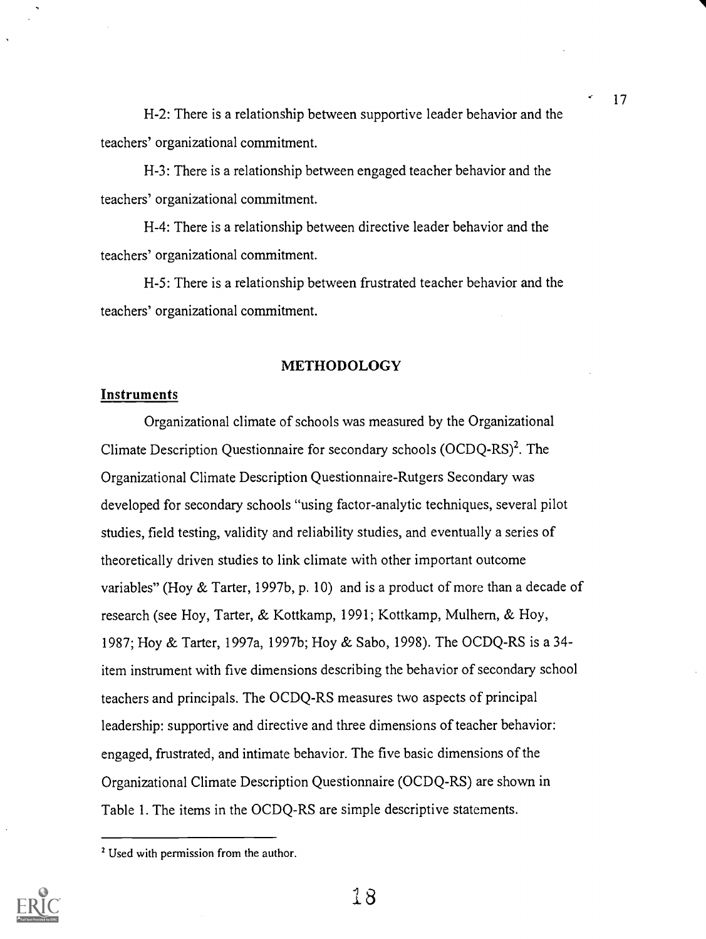H-2: There is a relationship between supportive leader behavior and the teachers' organizational commitment.

H-3: There is a relationship between engaged teacher behavior and the teachers' organizational commitment.

H-4: There is a relationship between directive leader behavior and the teachers' organizational commitment.

H-5: There is a relationship between frustrated teacher behavior and the teachers' organizational commitment.

#### METHODOLOGY

#### Instruments

Organizational climate of schools was measured by the Organizational Climate Description Questionnaire for secondary schools  $(OCDQ-RS)^2$ . The Organizational Climate Description Questionnaire-Rutgers Secondary was developed for secondary schools "using factor-analytic techniques, several pilot studies, field testing, validity and reliability studies, and eventually a series of theoretically driven studies to link climate with other important outcome variables" (Hoy & Tarter, 1997b, p. 10) and is a product of more than a decade of research (see Hoy, Tarter, & Kottkamp, 1991; Kottkamp, Mulhern, & Hoy, 1987; Hoy & Tarter, 1997a, 1997b; Hoy & Sabo, 1998). The OCDQ-RS is a 34 item instrument with five dimensions describing the behavior of secondary school teachers and principals. The OCDQ-RS measures two aspects of principal leadership: supportive and directive and three dimensions of teacher behavior: engaged, frustrated, and intimate behavior. The five basic dimensions of the Organizational Climate Description Questionnaire (OCDQ-RS) are shown in Table 1. The items in the OCDQ-RS are simple descriptive statements.

<sup>&</sup>lt;sup>2</sup> Used with permission from the author.



1 8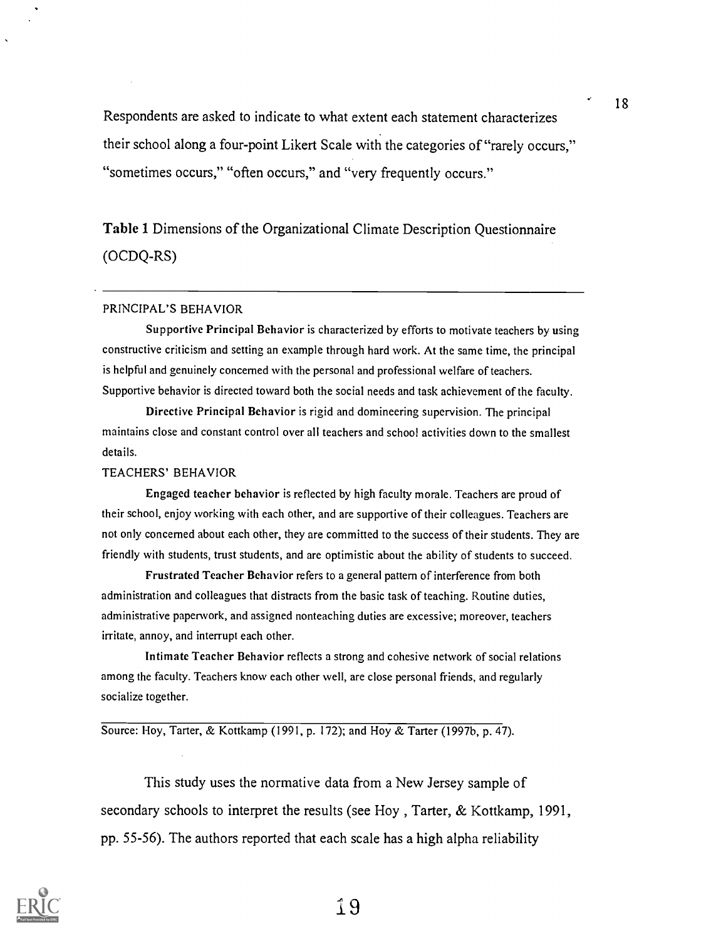Respondents are asked to indicate to what extent each statement characterizes their school along a four-point Likert Scale with the categories of "rarely occurs," "sometimes occurs," "often occurs," and "very frequently occurs."

# Table 1 Dimensions of the Organizational Climate Description Questionnaire (OCDQ-RS)

#### PRINCIPAL'S BEHAVIOR

Supportive Principal Behavior is characterized by efforts to motivate teachers by using constructive criticism and setting an example through hard work. At the same time, the principal is helpful and genuinely concerned with the personal and professional welfare of teachers. Supportive behavior is directed toward both the social needs and task achievement of the faculty.

Directive Principal Behavior is rigid and domineering supervision. The principal maintains close and constant control over all teachers and school activities down to the smallest details.

#### TEACHERS' BEHAVIOR

Engaged teacher behavior is reflected by high faculty morale. Teachers are proud of their school, enjoy working with each other, and are supportive of their colleagues. Teachers are not only concerned about each other, they are committed to the success of their students. They are friendly with students, trust students, and are optimistic about the ability of students to succeed.

Frustrated Teacher Behavior refers to a general pattern of interference from both administration and colleagues that distracts from the basic task of teaching. Routine duties, administrative paperwork, and assigned nonteaching duties are excessive; moreover, teachers irritate, annoy, and interrupt each other.

Intimate Teacher Behavior reflects a strong and cohesive network of social relations among the faculty. Teachers know each other well, are close personal friends, and regularly socialize together.

Source: Hoy, Tarter, & Kottkamp (1991, p. 172); and Hoy & Tarter (1997b, p. 47).

This study uses the normative data from a New Jersey sample of secondary schools to interpret the results (see Hoy , Tarter, & Kottkamp, 1991, pp. 55-56). The authors reported that each scale has a high alpha reliability

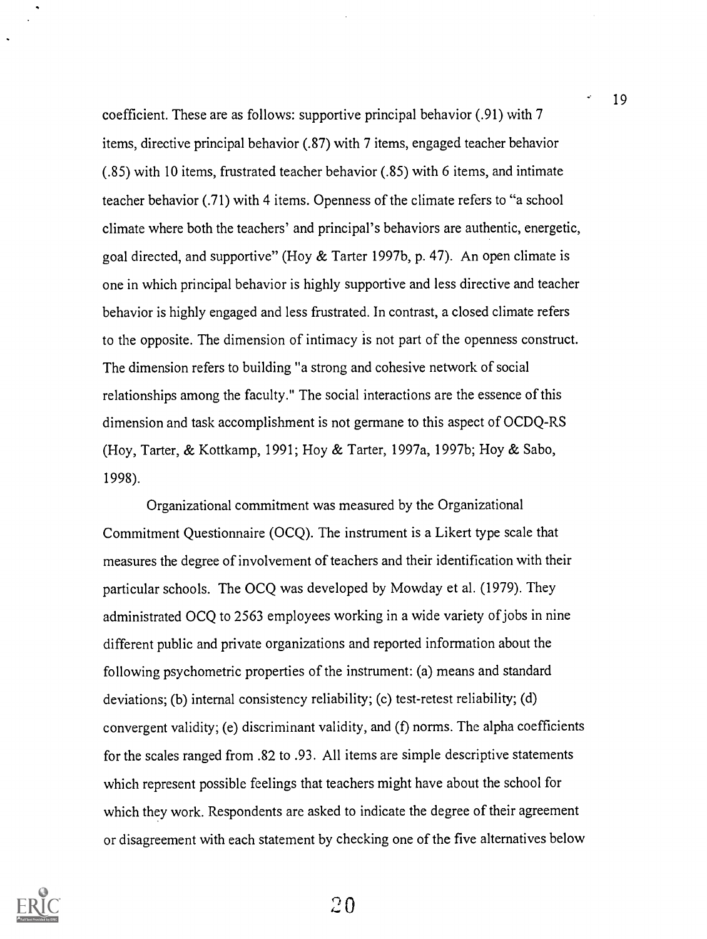coefficient. These are as follows: supportive principal behavior (.91) with 7 items, directive principal behavior (.87) with 7 items, engaged teacher behavior (.85) with 10 items, frustrated teacher behavior (.85) with 6 items, and intimate teacher behavior (.71) with 4 items. Openness of the climate refers to "a school climate where both the teachers' and principal's behaviors are authentic, energetic, goal directed, and supportive" (Hoy & Tarter 1997b, p. 47). An open climate is one in which principal behavior is highly supportive and less directive and teacher behavior is highly engaged and less frustrated. In contrast, a closed climate refers to the opposite. The dimension of intimacy is not part of the openness construct. The dimension refers to building "a strong and cohesive network of social relationships among the faculty." The social interactions are the essence of this dimension and task accomplishment is not germane to this aspect of OCDQ-RS (Hoy, Tarter, & Kottkamp, 1991; Hoy & Tarter, 1997a, 1997b; Hoy & Sabo, 1998).

19

Organizational commitment was measured by the Organizational Commitment Questionnaire (OCQ). The instrument is a Likert type scale that measures the degree of involvement of teachers and their identification with their particular schools. The OCQ was developed by Mowday et al. (1979). They administrated OCQ to 2563 employees working in a wide variety of jobs in nine different public and private organizations and reported information about the following psychometric properties of the instrument: (a) means and standard deviations; (b) internal consistency reliability; (c) test-retest reliability; (d) convergent validity; (e) discriminant validity, and (f) norms. The alpha coefficients for the scales ranged from .82 to .93. All items are simple descriptive statements which represent possible feelings that teachers might have about the school for which they work. Respondents are asked to indicate the degree of their agreement or disagreement with each statement by checking one of the five alternatives below

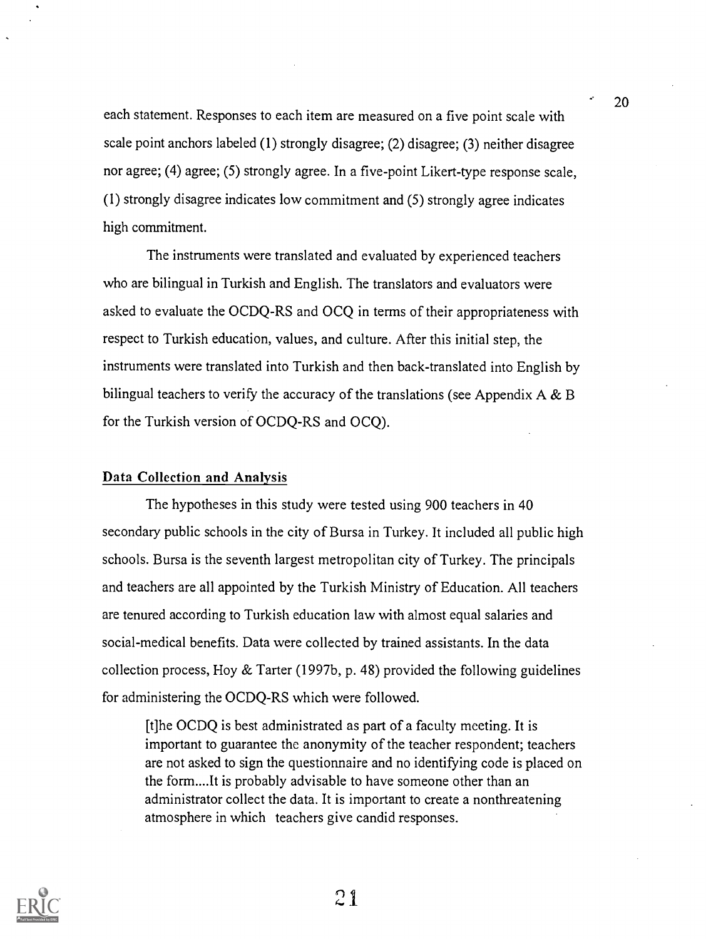each statement. Responses to each item are measured on a five point scale with scale point anchors labeled (1) strongly disagree; (2) disagree; (3) neither disagree nor agree; (4) agree; (5) strongly agree. In a five-point Likert-type response scale, (1) strongly disagree indicates low commitment and (5) strongly agree indicates high commitment.

The instruments were translated and evaluated by experienced teachers who are bilingual in Turkish and English. The translators and evaluators were asked to evaluate the OCDQ-RS and OCQ in terms of their appropriateness with respect to Turkish education, values, and culture. After this initial step, the instruments were translated into Turkish and then back-translated into English by bilingual teachers to verify the accuracy of the translations (see Appendix  $A \& B$ for the Turkish version of OCDQ-RS and OCQ).

### Data Collection and Analysis

The hypotheses in this study were tested using 900 teachers in 40 secondary public schools in the city of Bursa in Turkey. It included all public high schools. Bursa is the seventh largest metropolitan city of Turkey. The principals and teachers are all appointed by the Turkish Ministry of Education. All teachers are tenured according to Turkish education law with almost equal salaries and social-medical benefits. Data were collected by trained assistants. In the data collection process, Hoy & Tarter (1997b, p. 48) provided the following guidelines for administering the OCDQ-RS which were followed.

[t]he OCDQ is best administrated as part of a faculty meeting. It is important to guarantee the anonymity of the teacher respondent; teachers are not asked to sign the questionnaire and no identifying code is placed on the form....It is probably advisable to have someone other than an administrator collect the data. It is important to create a nonthreatening atmosphere in which teachers give candid responses.



 $21$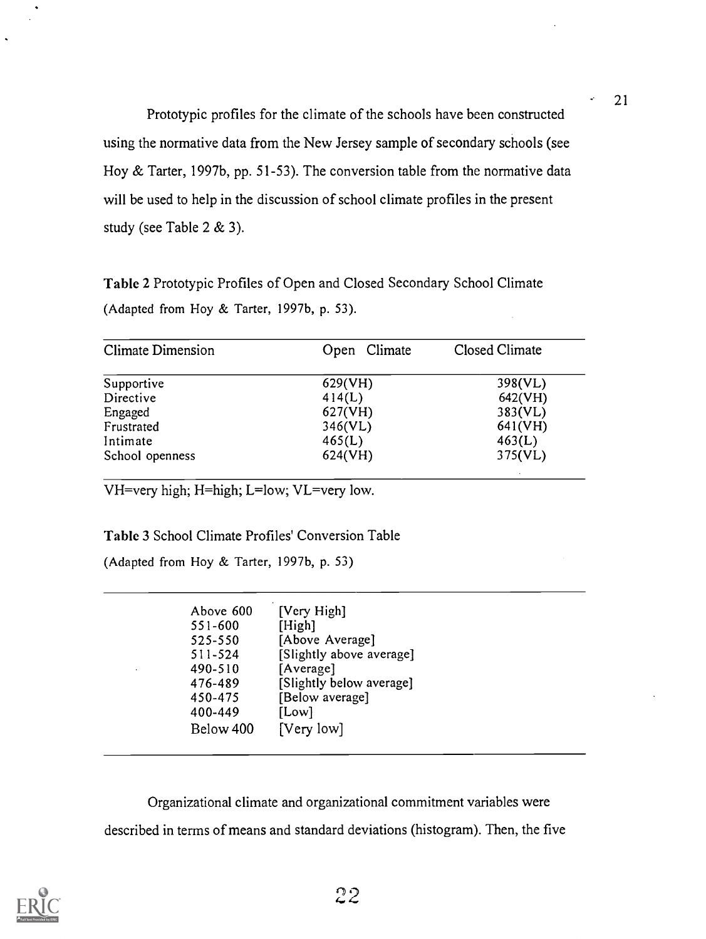Prototypic profiles for the climate of the schools have been constructed using the normative data from the New Jersey sample of secondary schools (see Hoy & Tarter, 1997b, pp. 51-53). The conversion table from the normative data will be used to help in the discussion of school climate profiles in the present study (see Table 2 & 3).

Table 2 Prototypic Profiles of Open and Closed Secondary School Climate (Adapted from Hoy & Tarter, 1997b, p. 53).

| <b>Climate Dimension</b> | Open Climate | Closed Climate |
|--------------------------|--------------|----------------|
| Supportive               | 629(VH)      | 398(VL)        |
| Directive                | 414(L)       | 642(VH)        |
| Engaged                  | 627(VH)      | 383(VL)        |
| Frustrated               | 346(VL)      | 641(VH)        |
| Intimate                 | 465(L)       | 463(L)         |
| School openness          | 624(VH)      | 375(VL)        |
|                          |              |                |

VH=very high; H=high; L=low; VL=very low.

Table 3 School Climate Profiles' Conversion Table

(Adapted from Hoy & Tarter, 1997b, p. 53)

| Above 600 | [Very High]              |
|-----------|--------------------------|
| 551-600   | [High]                   |
| 525-550   | [Above Average]          |
| 511-524   | [Slightly above average] |
| 490-510   | [Average]                |
| 476-489   | [Slightly below average] |
| 450-475   | [Below average]          |
| 400-449   | [Low]                    |
| Below 400 | [Very low]               |

Organizational climate and organizational commitment variables were described in terms of means and standard deviations (histogram). Then, the five



 $22$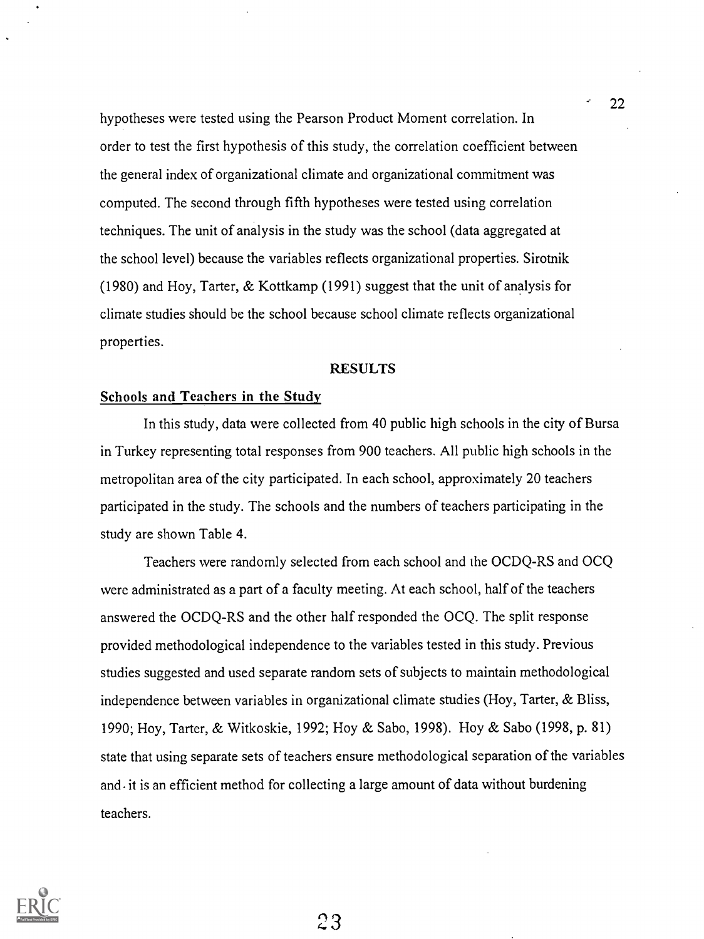hypotheses were tested using the Pearson Product Moment correlation. In order to test the first hypothesis of this study, the correlation coefficient between the general index of organizational climate and organizational commitment was computed. The second through fifth hypotheses were tested using correlation techniques. The unit of analysis in the study was the school (data aggregated at the school level) because the variables reflects organizational properties. Sirotnik (1980) and Hoy, Tarter, & Kottkamp (1991) suggest that the unit of analysis for climate studies should be the school because school climate reflects organizational properties.

#### RESULTS

#### Schools and Teachers in the Study

In this study, data were collected from 40 public high schools in the city of Bursa in Turkey representing total responses from 900 teachers. All public high schools in the metropolitan area of the city participated. In each school, approximately 20 teachers participated in the study. The schools and the numbers of teachers participating in the study are shown Table 4.

Teachers were randomly selected from each school and the OCDQ-RS and OCQ were administrated as a part of a faculty meeting. At each school, half of the teachers answered the OCDQ-RS and the other half responded the OCQ. The split response provided methodological independence to the variables tested in this study. Previous studies suggested and used separate random sets of subjects to maintain methodological independence between variables in organizational climate studies (Hoy, Tarter, & Bliss, 1990; Hoy, Tarter, & Witkoskie, 1992; Hoy & Sabo, 1998). Hoy & Sabo (1998, p. 81) state that using separate sets of teachers ensure methodological separation of the variables and it is an efficient method for collecting a large amount of data without burdening teachers.



2.3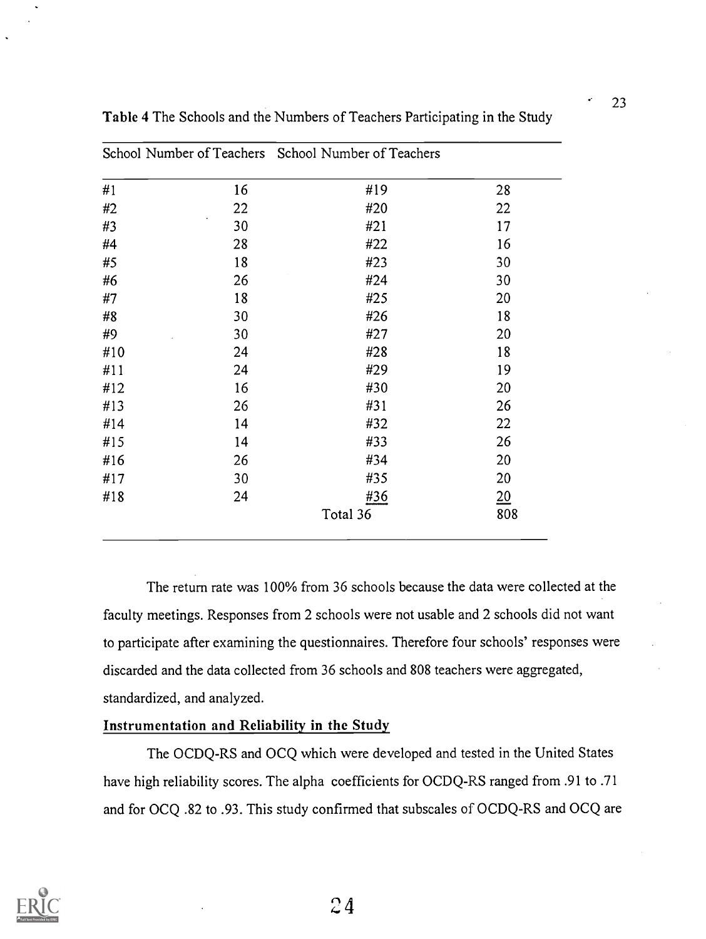|     |    | School Number of Teachers School Number of Teachers |     |
|-----|----|-----------------------------------------------------|-----|
| #1  | 16 | #19                                                 | 28  |
| #2  | 22 | #20                                                 | 22  |
| #3  | 30 | #21                                                 | 17  |
| #4  | 28 | #22                                                 | 16  |
| #5  | 18 | #23                                                 | 30  |
| #6  | 26 | #24                                                 | 30  |
| #7  | 18 | #25                                                 | 20  |
| #8  | 30 | #26                                                 | 18  |
| #9  | 30 | #27                                                 | 20  |
| #10 | 24 | #28                                                 | 18  |
| #11 | 24 | #29                                                 | 19  |
| #12 | 16 | #30                                                 | 20  |
| #13 | 26 | #31                                                 | 26  |
| #14 | 14 | #32                                                 | 22  |
| #15 | 14 | #33                                                 | 26  |
| #16 | 26 | #34                                                 | 20  |
| #17 | 30 | #35                                                 | 20  |
| #18 | 24 | #36                                                 | 20  |
|     |    | Total 36                                            | 808 |

Table 4 The Schools and the Numbers of Teachers Participating in the Study

The return rate was 100% from 36 schools because the data were collected at the faculty meetings. Responses from 2 schools were not usable and 2 schools did not want to participate after examining the questionnaires. Therefore four schools' responses were discarded and the data collected from 36 schools and 808 teachers were aggregated, standardized, and analyzed.

#### Instrumentation and Reliability in the Study

The OCDQ-RS and OCQ which were developed and tested in the United States have high reliability scores. The alpha coefficients for OCDQ-RS ranged from .91 to .71 and for OCQ .82 to .93. This study confirmed that subscales of OCDQ-RS and OCQ are

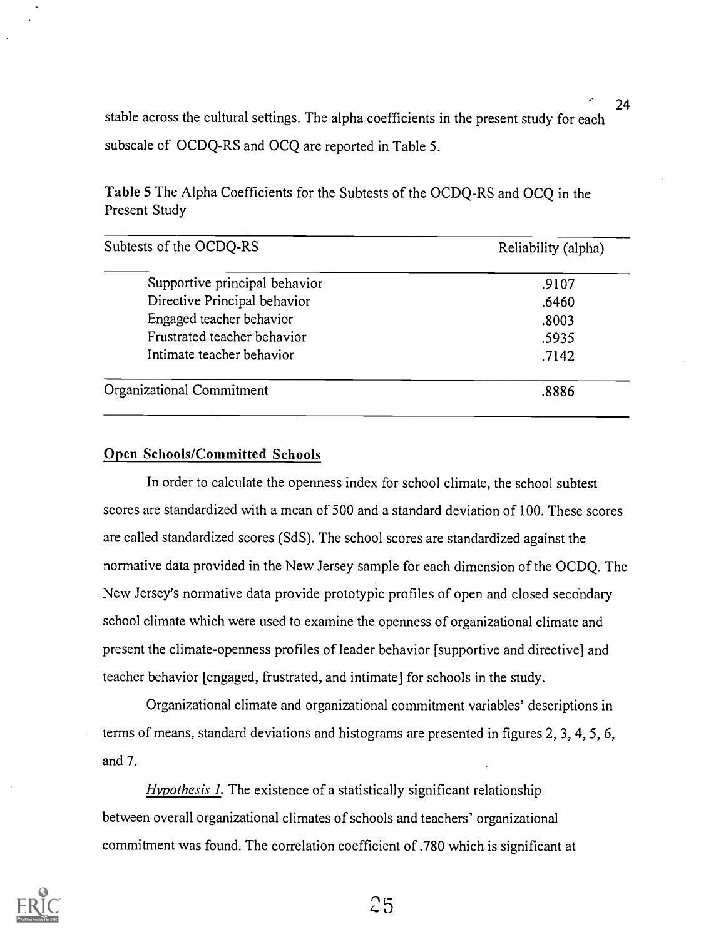stable across the cultural settings. The alpha coefficients in the present study for each subscale of OCDQ-RS and OCQ are reported in Table 5.

Table 5 The Alpha Coefficients for the Subtests of the OCDQ-RS and OCQ in the Present Study

| Subtests of the OCDQ-RS       | Reliability (alpha) |  |
|-------------------------------|---------------------|--|
| Supportive principal behavior | .9107               |  |
| Directive Principal behavior  | .6460               |  |
| Engaged teacher behavior      | .8003               |  |
| Frustrated teacher behavior   | .5935               |  |
| Intimate teacher behavior     | .7142               |  |
| Organizational Commitment     | .8886               |  |

### Open Schools/Committed Schools

In order to calculate the openness index for school climate, the school subtest scores are standardized with a mean of 500 and a standard deviation of 100. These scores are called standardized scores (SdS). The school scores are standardized against the normative data provided in the New Jersey sample for each dimension of the OCDQ. The New Jersey's normative data provide prototypic profiles of open and closed secondary school climate which were used to examine the openness of organizational climate and present the climate-openness profiles of leader behavior [supportive and directive] and teacher behavior [engaged, frustrated, and intimate] for schools in the study.

Organizational climate and organizational commitment variables' descriptions in terms of means, standard deviations and histograms are presented in figures 2, 3, 4, 5, 6, and 7.

Hypothesis 1. The existence of a statistically significant relationship between overall organizational climates of schools and teachers' organizational commitment was found. The correlation coefficient of .780 which is significant at



 $25$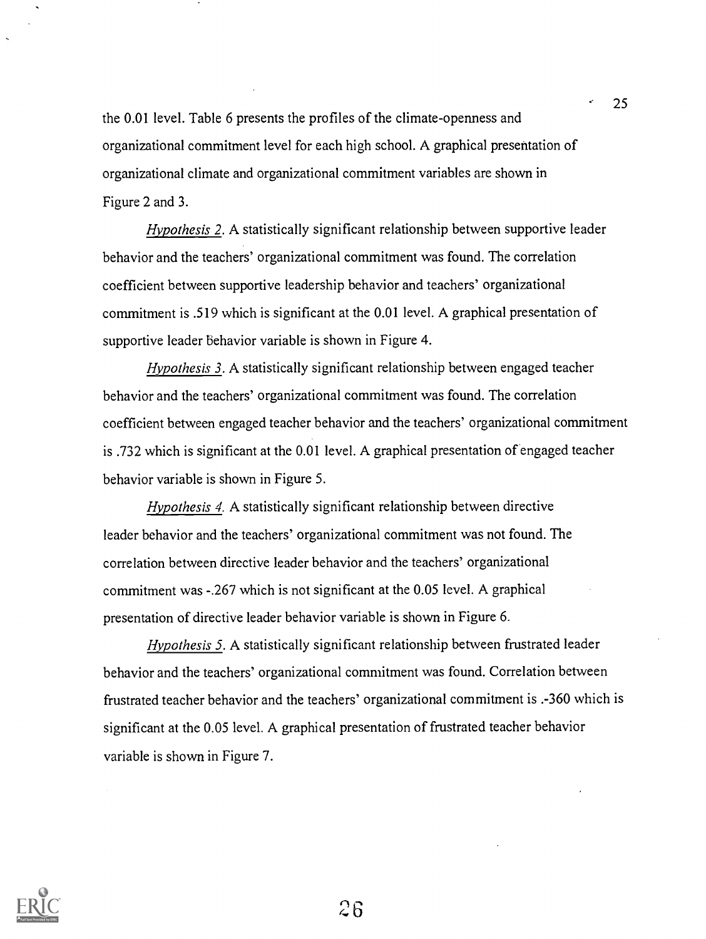the 0.01 level. Table 6 presents the profiles of the climate-opermess and organizational commitment level for each high school. A graphical presentation of organizational climate and organizational commitment variables are shown in Figure 2 and 3.

25

Hypothesis 2. A statistically significant relationship between supportive leader behavior and the teachers' organizational commitment was found. The correlation coefficient between supportive leadership behavior and teachers' organizational commitment is .519 which is significant at the 0.01 level. A graphical presentation of supportive leader behavior variable is shown in Figure 4.

Hypothesis 3. A statistically significant relationship between engaged teacher behavior and the teachers' organizational commitment was found. The correlation coefficient between engaged teacher behavior and the teachers' organizational commitment is .732 which is significant at the 0.01 level. A graphical presentation of engaged teacher behavior variable is shown in Figure 5.

Hypothesis 4. A statistically significant relationship between directive leader behavior and the teachers' organizational commitment was not found. The correlation between directive leader behavior and the teachers' organizational commitment was -.267 which is not significant at the 0.05 level. A graphical presentation of directive leader behavior variable is shown in Figure 6.

Hypothesis 5. A statistically significant relationship between frustrated leader behavior and the teachers' organizational commitment was found. Correlation between frustrated teacher behavior and the teachers' organizational commitment is .-360 which is significant at the 0.05 level. A graphical presentation of frustrated teacher behavior variable is shown in Figure 7.

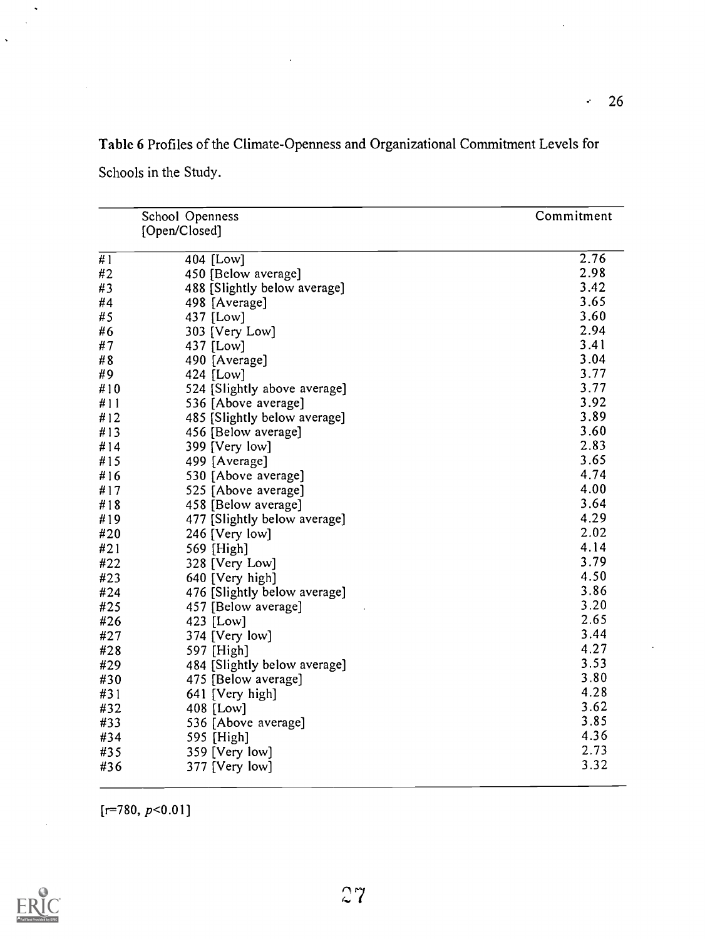Table 6 Profiles of the Climate-Openness and Organizational Commitment Levels for Schools in the Study.

|     | School Openness              | Commitment |
|-----|------------------------------|------------|
|     | [Open/Closed]                |            |
|     |                              |            |
| #1  | 404 [Low]                    | 2.76       |
| #2  | 450 [Below average]          | 2.98       |
| #3  | 488 [Slightly below average] | 3.42       |
| #4  | 498 [Average]                | 3.65       |
| #5  | 437 [Low]                    | 3.60       |
| #6  | 303 [Very Low]               | 2.94       |
| #7  | 437 [Low]                    | 3.41       |
| #8  | 490 [Average]                | 3.04       |
| #9  | 424 [Low]                    | 3.77       |
| #10 | 524 [Slightly above average] | 3.77       |
| #11 | 536 [Above average]          | 3.92       |
| #12 | 485 [Slightly below average] | 3.89       |
| #13 | 456 [Below average]          | 3.60       |
| #14 | 399 [Very low]               | 2.83       |
| #15 | 499 [Average]                | 3.65       |
| #16 | 530 [Above average]          | 4.74       |
| #17 | 525 [Above average]          | 4.00       |
| #18 | 458 [Below average]          | 3.64       |
| #19 | 477 [Slightly below average] | 4.29       |
| #20 | 246 [Very low]               | 2.02       |
| #21 | 569 [High]                   | 4.14       |
| #22 | 328 [Very Low]               | 3.79       |
| #23 | 640 [Very high]              | 4.50       |
| #24 | 476 [Slightly below average] | 3.86       |
| #25 | 457 [Below average]          | 3.20       |
| #26 | 423 [Low]                    | 2.65       |
| #27 | 374 [Very low]               | 3.44       |
| #28 | 597 [High]                   | 4.27       |
| #29 | 484 [Slightly below average] | 3.53       |
| #30 | 475 [Below average]          | 3.80       |
| #31 | 641 [Very high]              | 4.28       |
| #32 | 408 [Low]                    | 3.62       |
| #33 | 536 [Above average]          | 3.85       |
| #34 |                              | 4.36       |
|     | 595 [High]                   | 2.73       |
| #35 | 359 [Very low]               | 3.32       |
| #36 | 377 [Very low]               |            |

 $[r=780, p<0.01]$ 



 $\ddot{\phantom{a}}$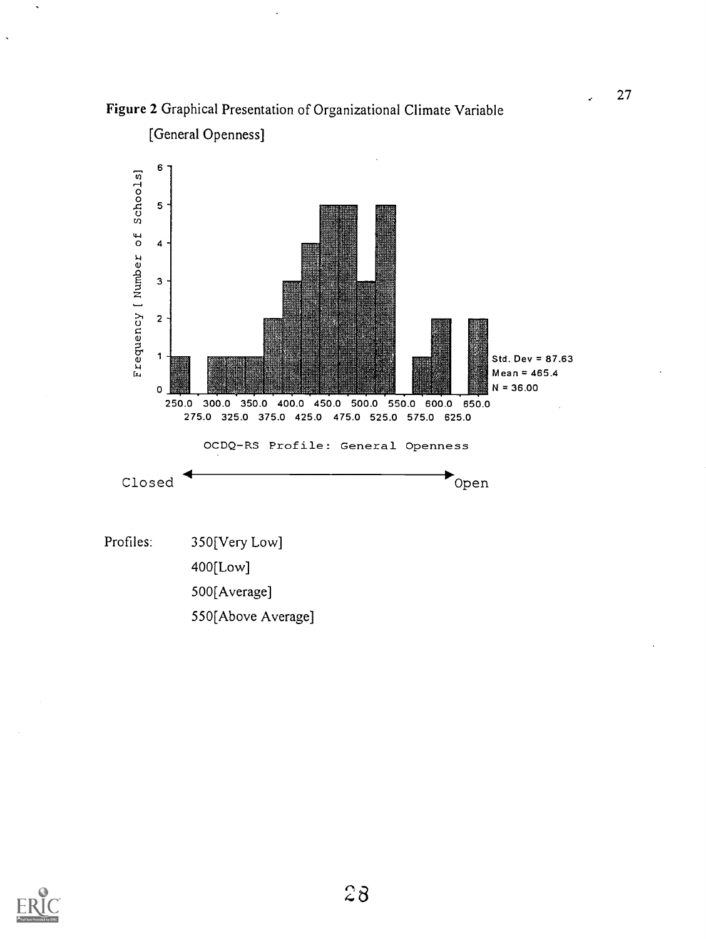



[General Openness]





 $\mathbf{r}$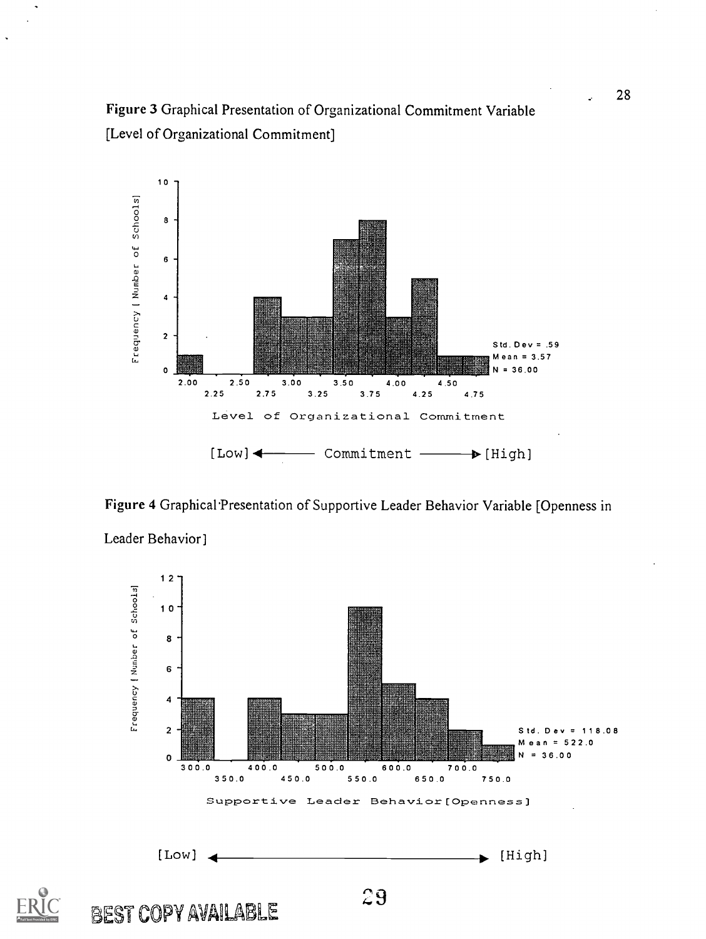



Figure 4 Graphical Presentation of Supportive Leader Behavior Variable [Openness in



Leader Behavior]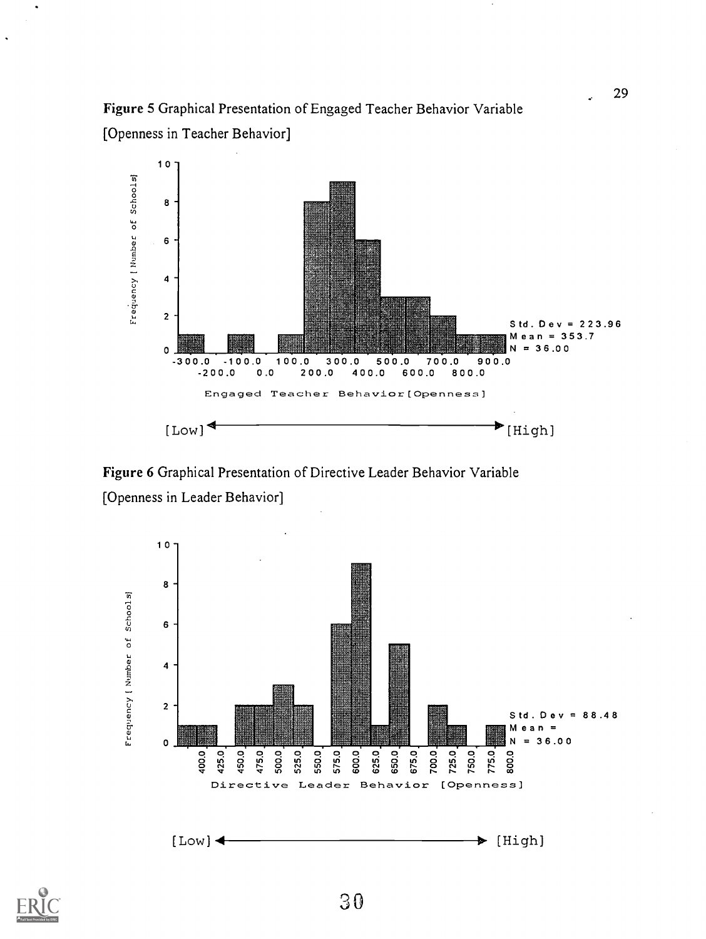# Figure 5 Graphical Presentation of Engaged Teacher Behavior Variable [Openness in Teacher Behavior]



Figure 6 Graphical Presentation of Directive Leader Behavior Variable [Openness in Leader Behavior]





 $\ddot{\phantom{0}}$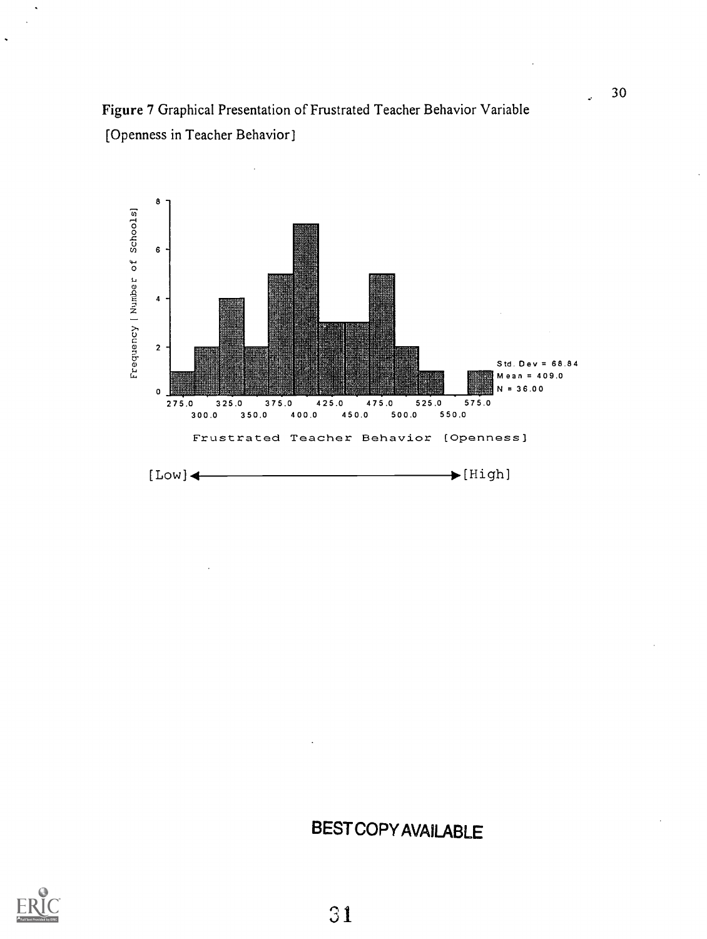

# BEST COPY AVAILABLE

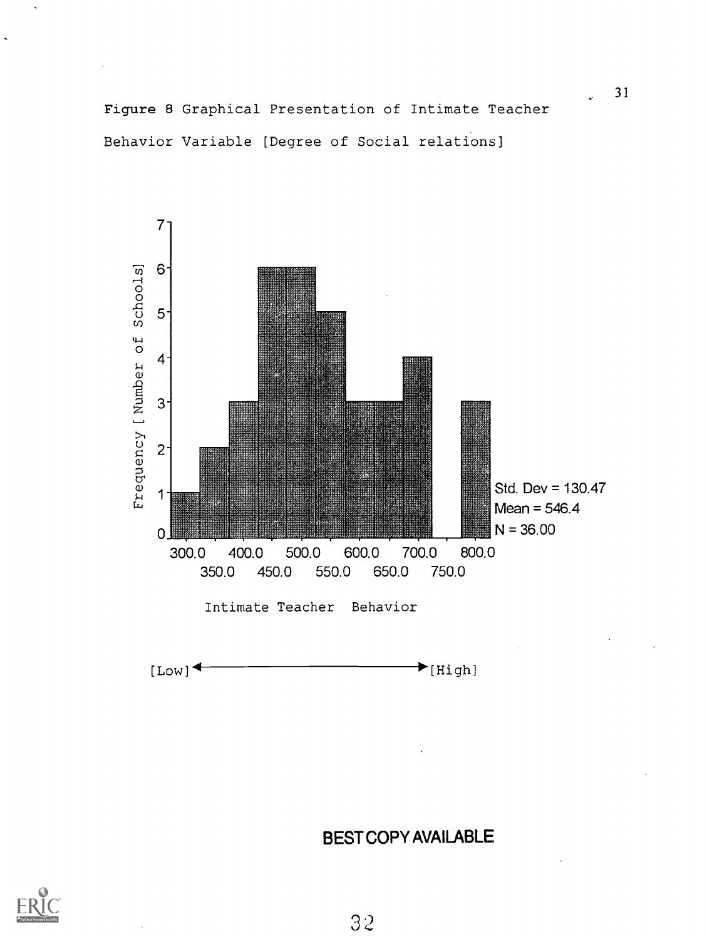Figure 8 Graphical Presentation of Intimate Teacher Behavior Variable [Degree of Social relations]





BEST COPY AVAILABLE

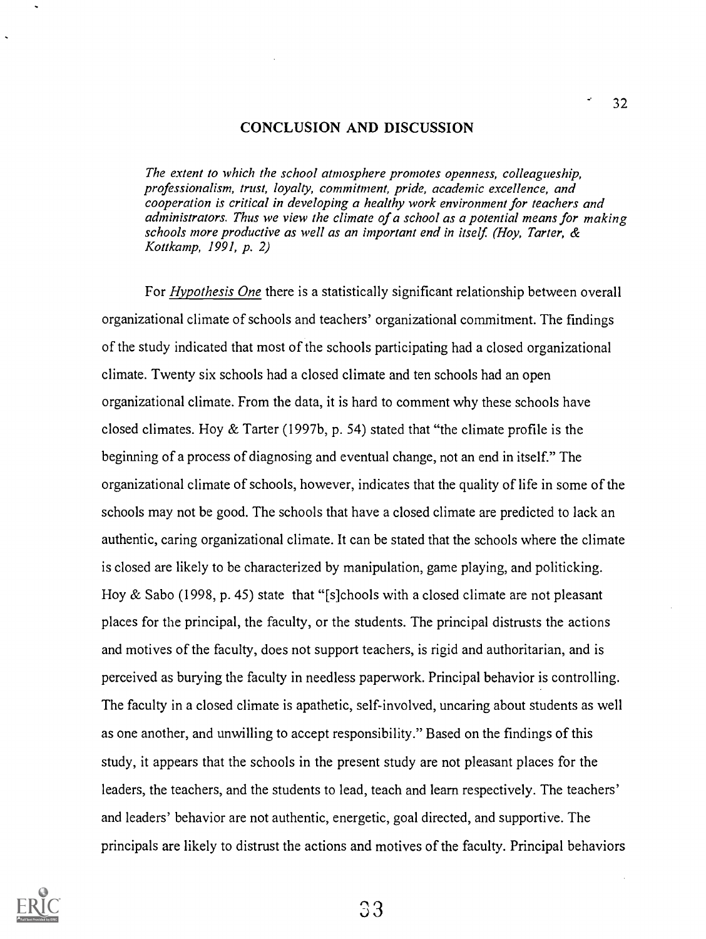#### CONCLUSION AND DISCUSSION

The extent to which the school atmosphere promotes openness, colleagueship, professionalism, trust, loyalty, commitment, pride, academic excellence, and cooperation is critical in developing a healthy work environment for teachers and administrators. Thus we view the climate of a school as a potential means for making schools more productive as well as an important end in itself. (Hoy, Tarter, & Kottkamp, 1991, p. 2)

For Hypothesis One there is a statistically significant relationship between overall organizational climate of schools and teachers' organizational commitment. The findings of the study indicated that most of the schools participating had a closed organizational climate. Twenty six schools had a closed climate and ten schools had an open organizational climate. From the data, it is hard to comment why these schools have closed climates. Hoy  $&$  Tarter (1997b, p. 54) stated that "the climate profile is the beginning of a process of diagnosing and eventual change, not an end in itself." The organizational climate of schools, however, indicates that the quality of life in some of the schools may not be good. The schools that have a closed climate are predicted to lack an authentic, caring organizational climate. It can be stated that the schools where the climate is closed are likely to be characterized by manipulation, game playing, and politicking. Hoy & Sabo (1998, p. 45) state that "[s]chools with a closed climate are not pleasant places for the principal, the faculty, or the students. The principal distrusts the actions and motives of the faculty, does not support teachers, is rigid and authoritarian, and is perceived as burying the faculty in needless paperwork. Principal behavior is controlling. The faculty in a closed climate is apathetic, self-involved, uncaring about students as well as one another, and unwilling to accept responsibility." Based on the findings of this study, it appears that the schools in the present study are not pleasant places for the leaders, the teachers, and the students to lead, teach and learn respectively. The teachers' and leaders' behavior are not authentic, energetic, goal directed, and supportive. The principals are likely to distrust the actions and motives of the faculty. Principal behaviors



, 3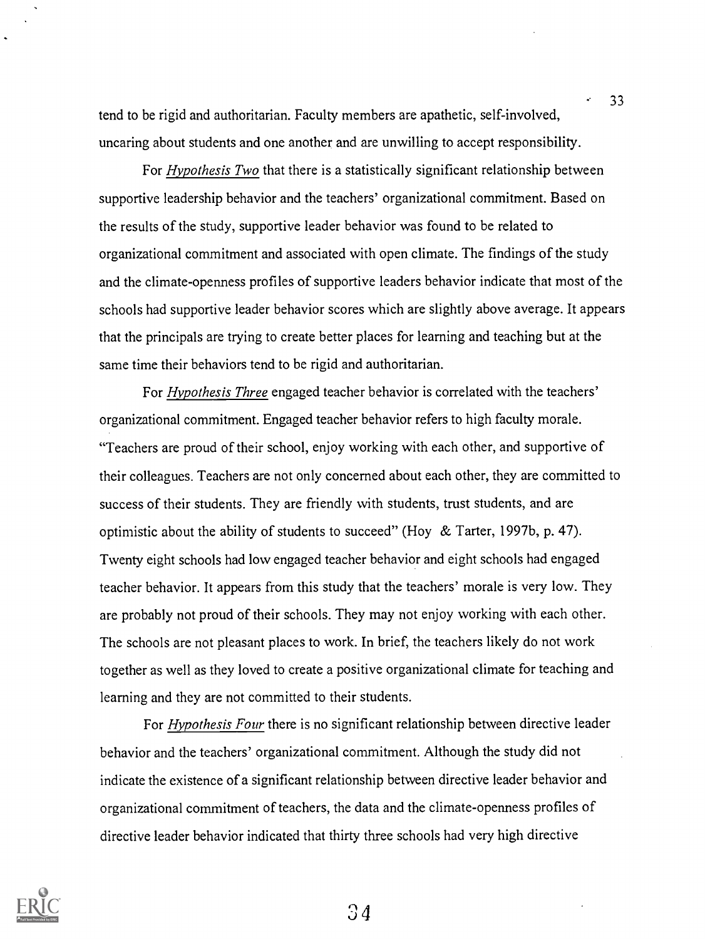tend to be rigid and authoritarian. Faculty members are apathetic, self-involved, uncaring about students and one another and are unwilling to accept responsibility.

For *Hypothesis Two* that there is a statistically significant relationship between supportive leadership behavior and the teachers' organizational commitment. Based on the results of the study, supportive leader behavior was found to be related to organizational commitment and associated with open climate. The findings of the study and the climate-openness profiles of supportive leaders behavior indicate that most of the schools had supportive leader behavior scores which are slightly above average. It appears that the principals are trying to create better places for learning and teaching but at the same time their behaviors tend to be rigid and authoritarian.

For Hypothesis Three engaged teacher behavior is correlated with the teachers' organizational commitment. Engaged teacher behavior refers to high faculty morale. "Teachers are proud of their school, enjoy working with each other, and supportive of their colleagues. Teachers are not only concerned about each other, they are committed to success of their students. They are friendly with students, trust students, and are optimistic about the ability of students to succeed" (Hoy & Tarter, 1997b, p. 47). Twenty eight schools had low engaged teacher behavior and eight schools had engaged teacher behavior. It appears from this study that the teachers' morale is very low. They are probably not proud of their schools. They may not enjoy working with each other. The schools are not pleasant places to work. In brief, the teachers likely do not work together as well as they loved to create a positive organizational climate for teaching and learning and they are not committed to their students.

For *Hypothesis Four* there is no significant relationship between directive leader behavior and the teachers' organizational commitment. Although the study did not indicate the existence of a significant relationship between directive leader behavior and organizational commitment of teachers, the data and the climate-openness profiles of directive leader behavior indicated that thirty three schools had very high directive



 $34$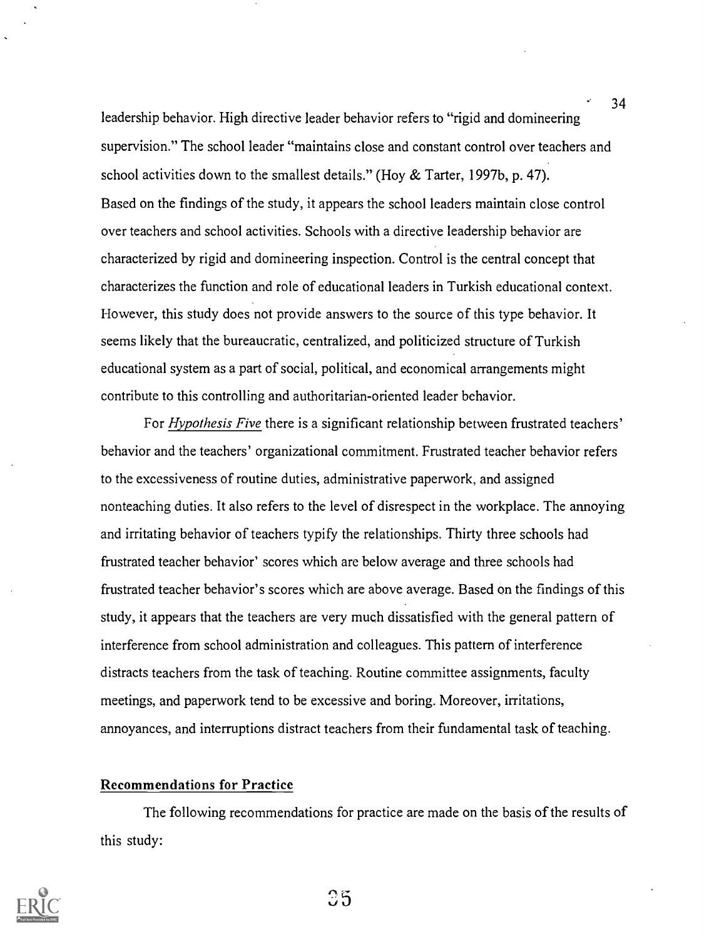leadership behavior. High directive leader behavior refers to "rigid and domineering supervision." The school leader "maintains close and constant control over teachers and school activities down to the smallest details." (Hoy & Tarter, 1997b, p. 47). Based on the findings of the study, it appears the school leaders maintain close control over teachers and school activities. Schools with a directive leadership behavior are characterized by rigid and domineering inspection. Control is the central concept that characterizes the function and role of educational leaders in Turkish educational context. However, this study does not provide answers to the source of this type behavior. It seems likely that the bureaucratic, centralized, and politicized structure of Turkish educational system as a part of social, political, and economical arrangements might contribute to this controlling and authoritarian-oriented leader behavior.

For *Hypothesis Five* there is a significant relationship between frustrated teachers' behavior and the teachers' organizational commitment. Frustrated teacher behavior refers to the excessiveness of routine duties, administrative paperwork, and assigned nonteaching duties. It also refers to the level of disrespect in the workplace. The annoying and irritating behavior of teachers typify the relationships. Thirty three schools had frustrated teacher behavior' scores which are below average and three schools had frustrated teacher behavior's scores which are above average. Based on the findings of this study, it appears that the teachers are very much dissatisfied with the general pattern of interference from school administration and colleagues. This pattern of interference distracts teachers from the task of teaching. Routine committee assignments, faculty meetings, and paperwork tend to be excessive and boring. Moreover, irritations, annoyances, and interruptions distract teachers from their fundamental task of teaching.

#### Recommendations for Practice

The following recommendations for practice are made on the basis of the results of this study:



35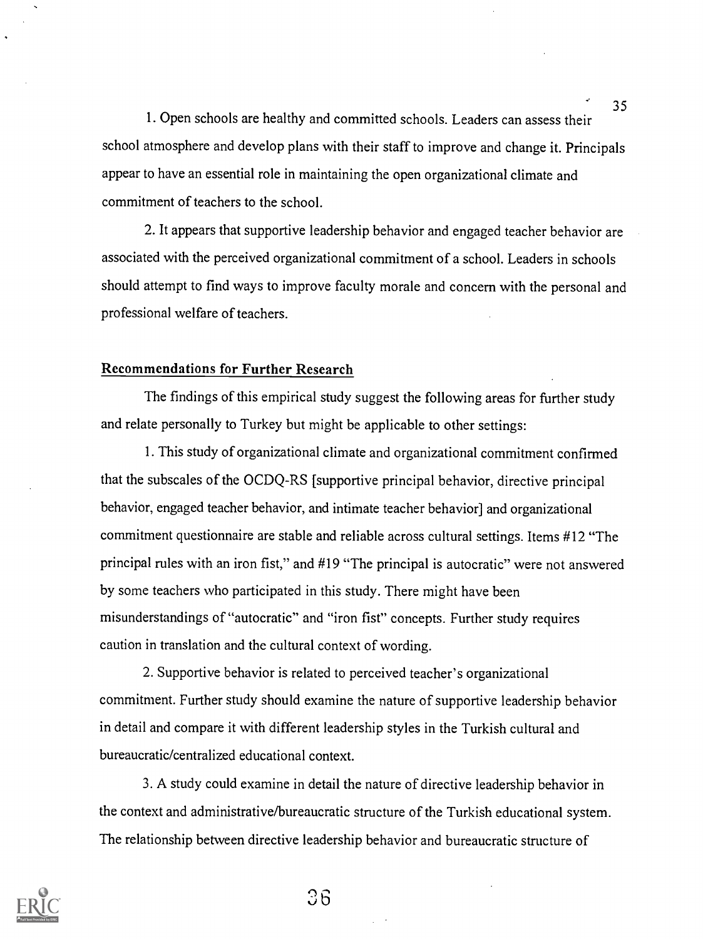1. Open schools are healthy and committed schools. Leaders can assess their school atmosphere and develop plans with their staff to improve and change it. Principals appear to have an essential role in maintaining the open organizational climate and commitment of teachers to the school.

2. It appears that supportive leadership behavior and engaged teacher behavior are associated with the perceived organizational commitment of a school. Leaders in schools should attempt to find ways to improve faculty morale and concern with the personal and professional welfare of teachers.

## Recommendations for Further Research

The findings of this empirical study suggest the following areas for further study and relate personally to Turkey but might be applicable to other settings:

1. This study of organizational climate and organizational commitment confirmed that the subscales of the OCDQ-RS [supportive principal behavior, directive principal behavior, engaged teacher behavior, and intimate teacher behavior] and organizational commitment questionnaire are stable and reliable across cultural settings. Items #12 "The principal rules with an iron fist," and #19 "The principal is autocratic" were not answered by some teachers who participated in this study. There might have been misunderstandings of "autocratic" and "iron fist" concepts. Further study requires caution in translation and the cultural context of wording.

2. Supportive behavior is related to perceived teacher's organizational commitment. Further study should examine the nature of supportive leadership behavior in detail and compare it with different leadership styles in the Turkish cultural and bureaucratic/centralized educational context.

3. A study could examine in detail the nature of directive leadership behavior in the context and administrative/bureaucratic structure of the Turkish educational system. The relationship between directive leadership behavior and bureaucratic structure of



 $36$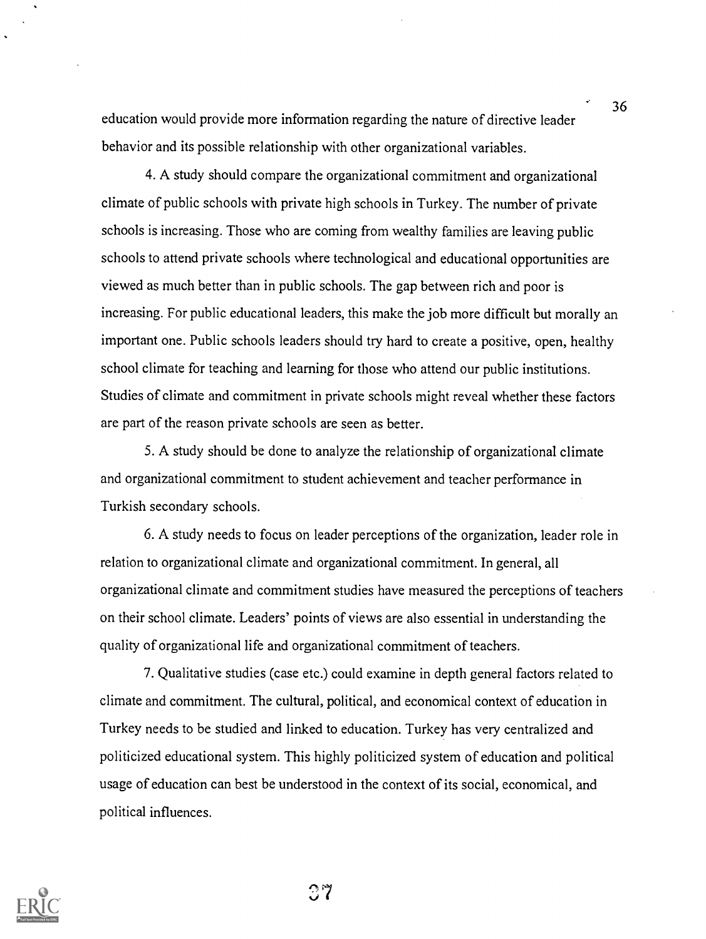education would provide more information regarding the nature of directive leader behavior and its possible relationship with other organizational variables.

4. A study should compare the organizational commitment and organizational climate of public schools with private high schools in Turkey. The number of private schools is increasing. Those who are coming from wealthy families are leaving public schools to attend private schools where technological and educational opportunities are viewed as much better than in public schools. The gap between rich and poor is increasing. For public educational leaders, this make the job more difficult but morally an important one. Public schools leaders should try hard to create a positive, open, healthy school climate for teaching and learning for those who attend our public institutions. Studies of climate and commitment in private schools might reveal whether these factors are part of the reason private schools are seen as better.

5. A study should be done to analyze the relationship of organizational climate and organizational commitment to student achievement and teacher performance in Turkish secondary schools.

6. A study needs to focus on leader perceptions of the organization, leader role in relation to organizational climate and organizational commitment. In general, all organizational climate and commitment studies have measured the perceptions of teachers on their school climate. Leaders' points of views are also essential in understanding the quality of organizational life and organizational commitment of teachers.

7. Qualitative studies (case etc.) could examine in depth general factors related to climate and commitment. The cultural, political, and economical context of education in Turkey needs to be studied and linked to education. Turkey has very centralized and politicized educational system. This highly politicized system of education and political usage of education can best be understood in the context of its social, economical, and political influences.



 $37$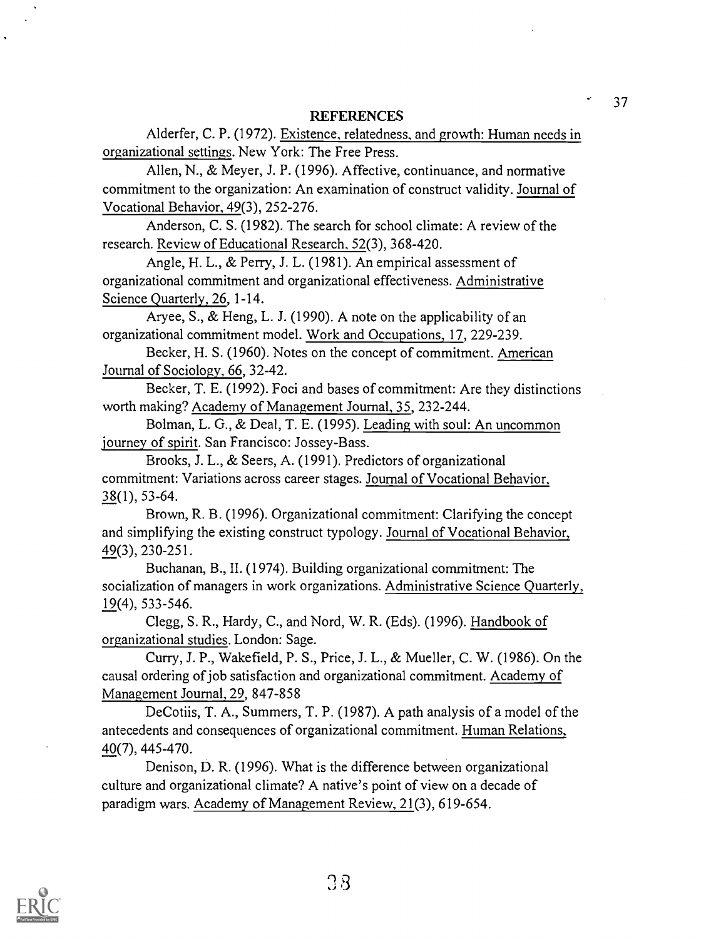### **REFERENCES**

Alderfer, C. P. (1972). Existence, relatedness, and growth: Human needs in organizational settings. New York: The Free Press.

Allen, N., & Meyer, J. P. (1996). Affective, continuance, and normative commitment to the organization: An examination of construct validity. Journal of Vocational Behavior, 49(3), 252-276.

Anderson, C. S. (1982). The search for school climate: A review of the research. Review of Educational Research, 52(3), 368-420.

Angle, H. L., & Perry, J. L. (1981). An empirical assessment of organizational commitment and organizational effectiveness. Administrative Science Quarterly, 26, 1-14.

Aryee, S., & Heng, L. J. (1990). A note on the applicability of an organizational commitment model. Work and Occupations, 17, 229-239.

Becker, H. S. (1960). Notes on the concept of commitment. American Journal of Sociology, 66, 32-42.

Becker, T. E. (1992). Foci and bases of commitment: Are they distinctions worth making? Academy of Management Journal, 35, 232-244.

Bolman, L. G., & Deal, T. E. (1995). Leading with soul: An uncommon journey of spirit. San Francisco: Jossey-Bass.

Brooks, J. L., & Seers, A. (1991). Predictors of organizational commitment: Variations across career stages. Journal of Vocational Behavior, 38(1), 53-64.

Brown, R. B. (1996). Organizational commitment: Clarifying the concept and simplifying the existing construct typology. Journal of Vocational Behavior, 49(3), 230-251.

Buchanan, B., II. (1974). Building organizational commitment: The socialization of managers in work organizations. Administrative Science Quarterly, 19(4), 533-546.

Clegg, S. R., Hardy, C., and Nord, W. R. (Eds). (1996). Handbook of organizational studies. London: Sage.

Curry, J. P., Wakefield, P. S., Price, J. L., & Mueller, C. W. (1986). On the causal ordering of job satisfaction and organizational commitment. Academy of Management Journal, 29, 847-858

DeCotiis, T. A., Summers, T. P. (1987). A path analysis of a model of the antecedents and consequences of organizational commitment. Human Relations, 40(7), 445-470.

Denison, D. R. (1996). What is the difference between organizational culture and organizational climate? A native's point of view on a decade of paradigm wars. Academy of Management Review, 21(3), 619-654.

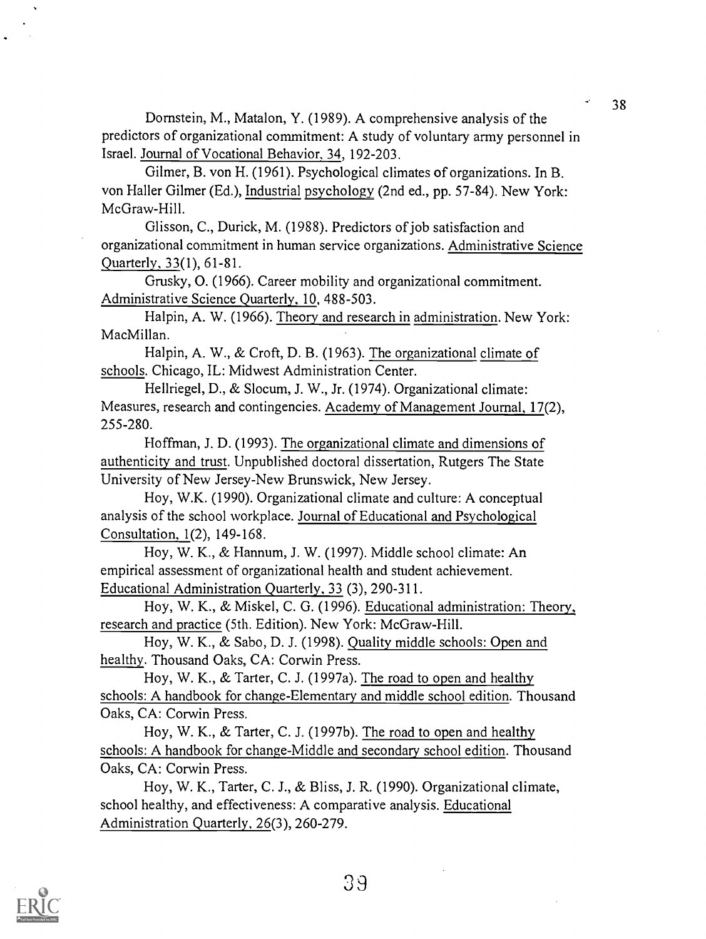Dornstein, M., Matalon, Y. (1989). A comprehensive analysis of the predictors of organizational commitment: A study of voluntary army personnel in Israel. Journal of Vocational Behavior, 34, 192-203.

Gilmer, B. von H. (1961). Psychological climates of organizations. In B. von Haller Gilmer (Ed.), Industrial psychology (2nd ed., pp. 57-84). New York: McGraw-Hill.

Glisson, C., Durick, M. (1988). Predictors of job satisfaction and organizational commitment in human service organizations. Administrative Science Quarterly, 33(1), 61-81.

Grusky, 0. (1966). Career mobility and organizational commitment. Administrative Science Quarterly, 10, 488-503.

Halpin, A. W. (1966). Theory and research in administration. New York: MacMillan.

Halpin, A. W., & Croft, D. B. (1963). The organizational climate of schools. Chicago, IL: Midwest Administration Center.

Hellriegel, D., & Slocum, J. W., Jr. (1974). Organizational climate: Measures, research and contingencies. Academy of Management Journal, 17(2), 255-280.

Hoffman, J. D. (1993). The organizational climate and dimensions of authenticity and trust. Unpublished doctoral dissertation, Rutgers The State University of New Jersey-New Brunswick, New Jersey.

Hoy, W.K. (1990). Organizational climate and culture: A conceptual analysis of the school workplace. Journal of Educational and Psychological Consultation, 1(2), 149-168.

Hoy, W. K., & Hannum, J. W. (1997). Middle school climate: An empirical assessment of organizational health and student achievement. Educational Administration Quarterly, 33 (3), 290-311.

Hoy, W. K., & Miskel, C. G. (1996). Educational administration: Theory, research and practice (5th. Edition). New York: McGraw-Hill.

Hoy, W. K., & Sabo, D. J. (1998). Quality middle schools: Open and healthy. Thousand Oaks, CA: Corwin Press.

Hoy, W. K., & Tarter, C. J. (1997a). The road to open and healthy schools: A handbook for change-Elementary and middle school edition. Thousand Oaks, CA: Corwin Press.

Hoy, W. K., & Tarter, C. J. (1997b). The road to open and healthy schools: A handbook for change-Middle and secondary school edition. Thousand Oaks, CA: Corwin Press.

Hoy, W. K., Tarter, C. J., & Bliss, J. R. (1990). Organizational climate, school healthy, and effectiveness: A comparative analysis. Educational Administration Quarterly, 26(3), 260-279.

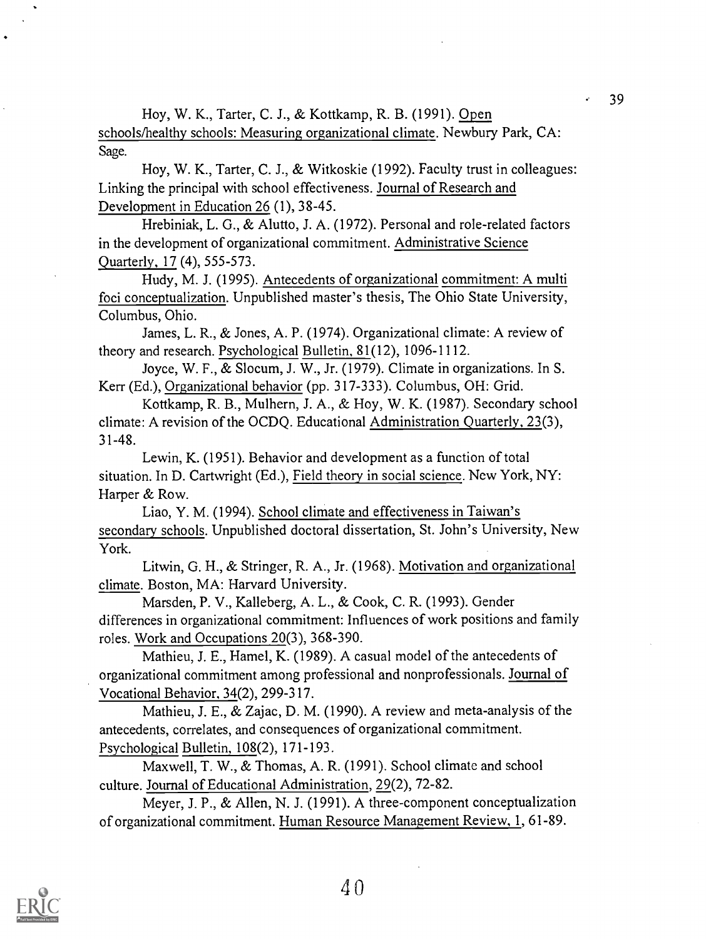Hoy, W. K., Tarter, C. J., & Kottkamp, R. B. (1991). Open schools/healthy schools: Measuring organizational climate. Newbury Park, CA: Sage.

Hoy, W. K., Tarter, C. J., & Witkoskie (1992). Faculty trust in colleagues: Linking the principal with school effectiveness. Journal of Research and Development in Education 26 (1), 38-45.

Hrebiniak, L. G., & Alutto, J. A. (1972). Personal and role-related factors in the development of organizational commitment. Administrative Science Quarterly, 17 (4), 555-573.

Hudy, M. J. (1995). Antecedents of organizational commitment: A multi foci conceptualization. Unpublished master's thesis, The Ohio State University, Columbus, Ohio.

James, L. R., & Jones, A. P. (1974). Organizational climate: A review of theory and research. Psychological Bulletin, 81(12), 1096-1112.

Joyce, W. F., & Slocum, J. W., Jr. (1979). Climate in organizations. In S. Kerr (Ed.), Organizational behavior (pp. 317-333). Columbus, OH: Grid.

Kottkamp, R. B., Mulhern, J. A., & Hoy, W. K. (1987). Secondary school climate: A revision of the OCDQ. Educational Administration Quarterly, 23(3), 31-48.

Lewin, K. (1951). Behavior and development as a function of total situation. In D. Cartwright (Ed.), Field theory in social science. New York, NY: Harper & Row.

Liao, Y. M. (1994). School climate and effectiveness in Taiwan's secondary schools. Unpublished doctoral dissertation, St. John's University, New York.

Litwin, G. H., & Stringer, R. A., Jr. (1968). Motivation and organizational climate. Boston, MA: Harvard University.

Marsden, P. V., Kalleberg, A. L., & Cook, C. R. (1993). Gender differences in organizational commitment: Influences of work positions and family roles. Work and Occupations 20(3), 368-390.

Mathieu, J. E., Hamel, K. (1989). A casual model of the antecedents of organizational commitment among professional and nonprofessionals. Journal of Vocational Behavior, 34(2), 299-317.

Mathieu, J. E., & Zajac, D. M. (1990). A review and meta-analysis of the antecedents, correlates, and consequences of organizational commitment. Psychological Bulletin, 108(2), 171-193.

Maxwell, T. W., & Thomas, A. R. (1991). School climate and school culture. Journal of Educational Administration, 29(2), 72-82.

Meyer, J. P., & Allen, N. J. (1991). A three-component conceptualization of organizational commitment. Human Resource Management Review, 1, 61-89.

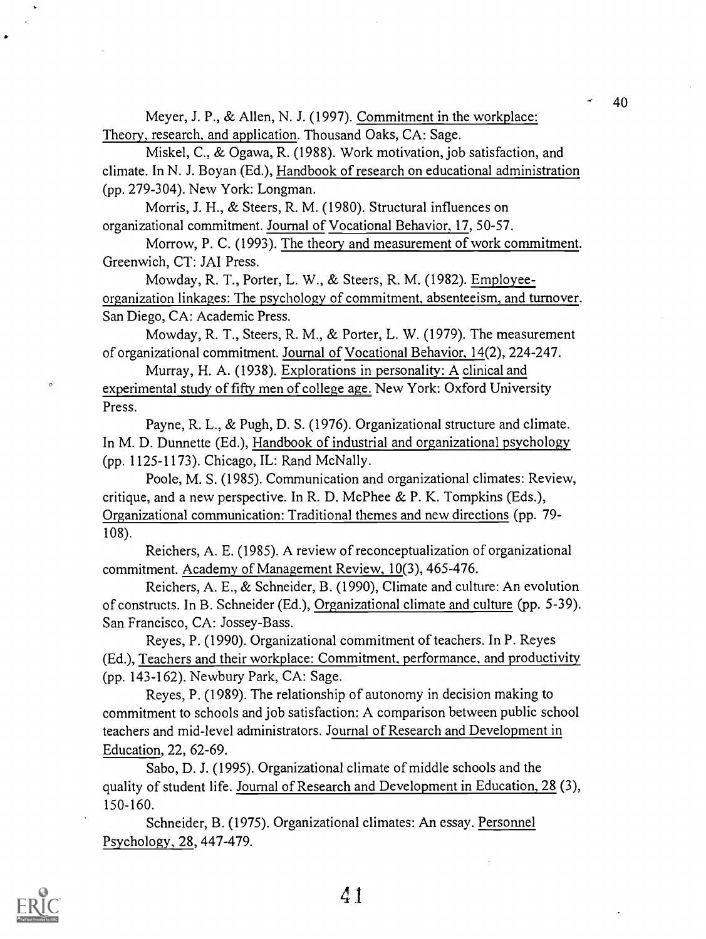Meyer, J. P., & Allen, N. J. (1997). Commitment in the workplace: Theory, research, and application. Thousand Oaks, CA: Sage.

Miskel, C., & Ogawa, R. (1988). Work motivation, job satisfaction, and climate. In N. J. Boyan (Ed.), Handbook of research on educational administration (pp. 279-304). New York: Longman.

Morris, J. H., & Steers, R. M. (1980). Structural influences on organizational commitment. Journal of Vocational Behavior, 17, 50-57.

Morrow, P. C. (1993). The theory and measurement of work commitment. Greenwich, CT: JAI Press.

Mowday, R. T., Porter, L. W., & Steers, R. M. (1982). Employeeorganization linkages: The psychology of commitment, absenteeism, and turnover. San Diego, CA: Academic Press.

Mowday, R. T., Steers, R. M., & Porter, L. W. (1979). The measurement of organizational commitment. Journal of Vocational Behavior, 14(2), 224-247.

Murray, H. A. (1938). Explorations in personality: A clinical and experimental study of fifty men of college age. New York: Oxford University Press.

Payne, R. L., & Pugh, D. S. (1976). Organizational structure and climate. In M. D. Durmette (Ed.), Handbook of industrial and organizational psychology (pp. 1125-1173). Chicago, IL: Rand McNally.

Poole, M. S. (1985). Communication and organizational climates: Review, critique, and a new perspective. In R. D. McPhee & P. K. Tompkins (Eds.), Organizational communication: Traditional themes and new directions (pp. 79- 108).

Reichers, A. E. (1985). A review of reconceptualization of organizational commitment. Academy of Management Review, 10(3), 465-476.

Reichers, A. E., & Schneider, B. (1990), Climate and culture: An evolution of constructs. In B. Schneider (Ed.), Organizational climate and culture (pp. 5-39). San Francisco, CA: Jossey-Bass.

Reyes, P. (1990). Organizational commitment of teachers. In P. Reyes (Ed.), Teachers and their workplace: Commitment, performance, and productivity (pp. 143-162). Newbury Park, CA: Sage.

Reyes, P. (1989). The relationship of autonomy in decision making to commitment to schools and job satisfaction: A comparison between public school teachers and mid-level administrators. Journal of Research and Development in Education, 22, 62-69.

Sabo, D. J. (1995). Organizational climate of middle schools and the quality of student life. Journal of Research and Development in Education, 28 (3), 150-160.

Schneider, B. (1975). Organizational climates: An essay. Personnel Psychology, 28, 447-479.



 $\epsilon$ 

4 1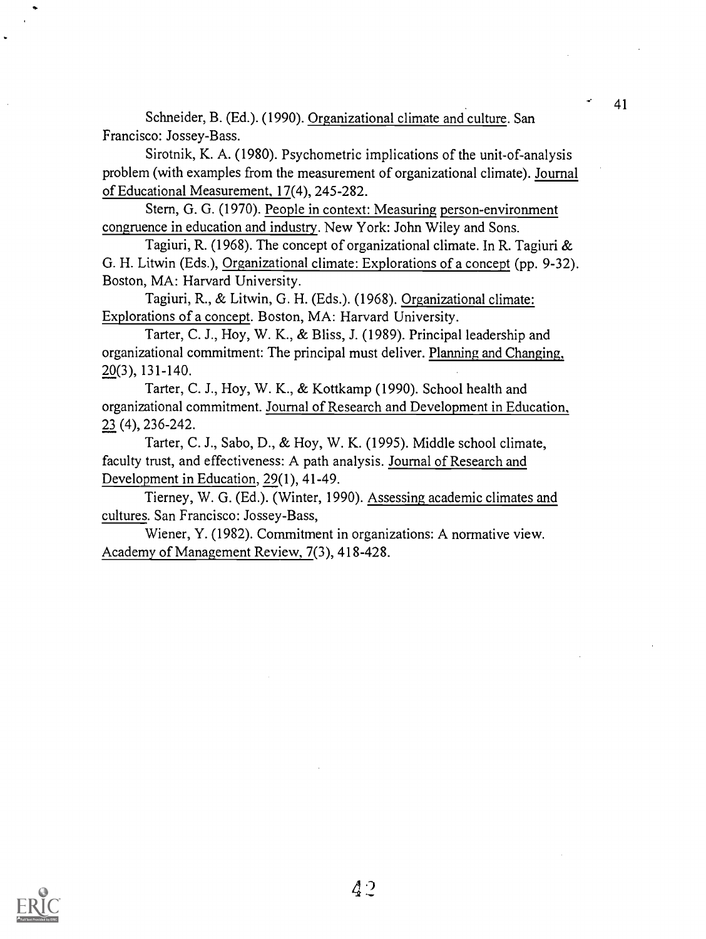Schneider, B. (Ed.). (1990). Organizational climate and culture. San Francisco: Jossey-Bass.

Sirotnik, K. A. (1980). Psychometric implications of the unit-of-analysis problem (with examples from the measurement of organizational climate). Journal of Educational Measurement, 17(4), 245-282.

Stern, G. G. (1970). People in context: Measuring person-environment congruence in education and industry. New York: John Wiley and Sons.

Tagiuri, R. (1968). The concept of organizational climate. In R. Tagiuri & G. H. Litwin (Eds.), Organizational climate: Explorations of a concept (pp. 9-32). Boston, MA: Harvard University.

Tagiuri, R., & Litwin, G. H. (Eds.). (1968). Organizational climate: Explorations of a concept. Boston, MA: Harvard University.

Tarter, C. J., Hoy, W. K., & Bliss, J. (1989). Principal leadership and organizational commitment: The principal must deliver. Planning and Changing, 20(3), 131-140.

Tarter, C. J., Hoy, W. K., & Kottkamp (1990). School health and organizational commitment. Journal of Research and Development in Education, 23 (4), 236-242.

Tarter, C. J., Sabo, D., & Hoy, W. K. (1995). Middle school climate, faculty trust, and effectiveness: A path analysis. Journal of Research and Development in Education, 29(1), 41-49.

Tierney, W. G. (Ed.). (Winter, 1990). Assessing academic climates and cultures. San Francisco: Jossey-Bass,

Wiener, Y. (1982). Commitment in organizations: A normative view. Academy of Management Review, 7(3), 418-428.

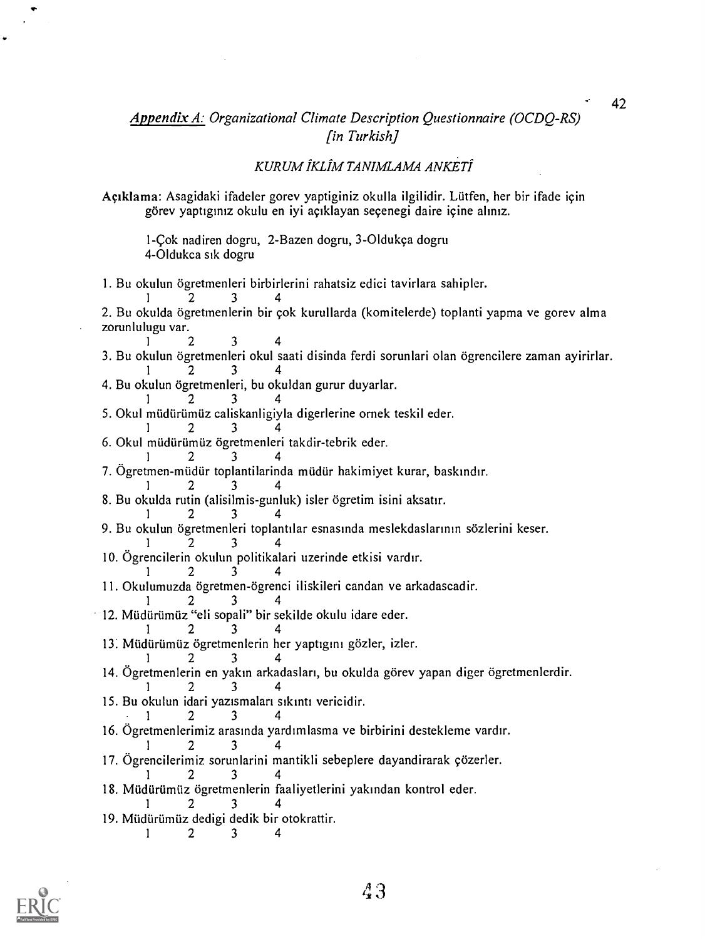## Appendix A: Organizational Climate Description Questionnaire (OCDQ-RS) [in Turkish]

## KURUM IKLIM TANIMLAMA ANKETI

Agiklama: Asagidaki ifadeler gorev yaptiginiz okulla ilgilidir. Liltfen, her bir ifade icin görev yaptıgınız okulu en iyi açıklayan seçenegi daire içine alınız.

1-cok nadiren dogru, 2-Bazen dogru, 3-Oldukca dogru 4-Oldukca sik dogru

1. Bu okulun ögretmenleri birbirlerini rahatsiz edici tavirlara sahipler.

<sup>1</sup> 2 3 4 2. Bu okulda ögretmenlerin bir çok kurullarda (komitelerde) toplanti yapma ve gorev alma zorunlulugu var.

<sup>1</sup> 2 3 4 3. Bu okulun ögretmenleri okul saati disinda ferdi sorunlari olan ögrencilere zaman ayirirlar. <sup>1</sup> 2 3 4

4. Bu okulun ögretmenleri, bu okuldan gurur duyarlar.

<sup>1</sup> 2 3 4 5. Okul müdürümüz caliskanligiyla digerlerine ornek teskil eder.

<sup>1</sup> 2 3 4

6. Okul müdürümüz ögretmenleri takdir-tebrik eder.

<sup>1</sup> 2 3 4

7. Ögretmen-müdür toplantilarinda müdür hakimiyet kurar, baskındır.

<sup>1</sup> 2 3 4

8. Bu okulda rutin (alisilmis-gunluk) isler ogretim isini aksatir.

<sup>1</sup> 2 3 4 9. Bu okulun ogretmenieri toplantilar esnasmda meslekdaslarinin sözlerini keser.

<sup>1</sup> 2 3 4

10. Ogrencilerin okulun politikalari uzerinde etkisi vardir.

<sup>1</sup> 2 3 4

11. Okulumuzda ögretmen-ögrenci iliskileri candan ve arkadascadir.

<sup>1</sup> 2 3 4

12. Müdürümüz "eli sopali" bir sekilde okulu idare eder.

<sup>1</sup> 2 3 4 13. Müdürümüz ögretmenlerin her yaptıgını gözler, izler.

<sup>1</sup> 2 3 4

14. Ögretmenlerin en yakın arkadasları, bu okulda görev yapan diger ögretmenlerdir. <sup>1</sup> 2 3 4

15. Bu okulun idari yazismalari sikinti vericidir.

<sup>1</sup> 2 3 4 16. Ogretmenlerimiz arasinda yardimlasma ve birbirini destekleme vardir.

<sup>1</sup> 2 3 4

17. Ögrencilerimiz sorunlarini mantikli sebeplere dayandirarak çözerler.

<sup>1</sup> 2 3 4

- 18. Müdürümüz ögretmenlerin faaliyetlerini yakından kontrol eder. <sup>1</sup> 2 3 4
- 19. Müdürümüz dedigi dedik bir otokrattir.

<sup>1</sup> 2 3 4

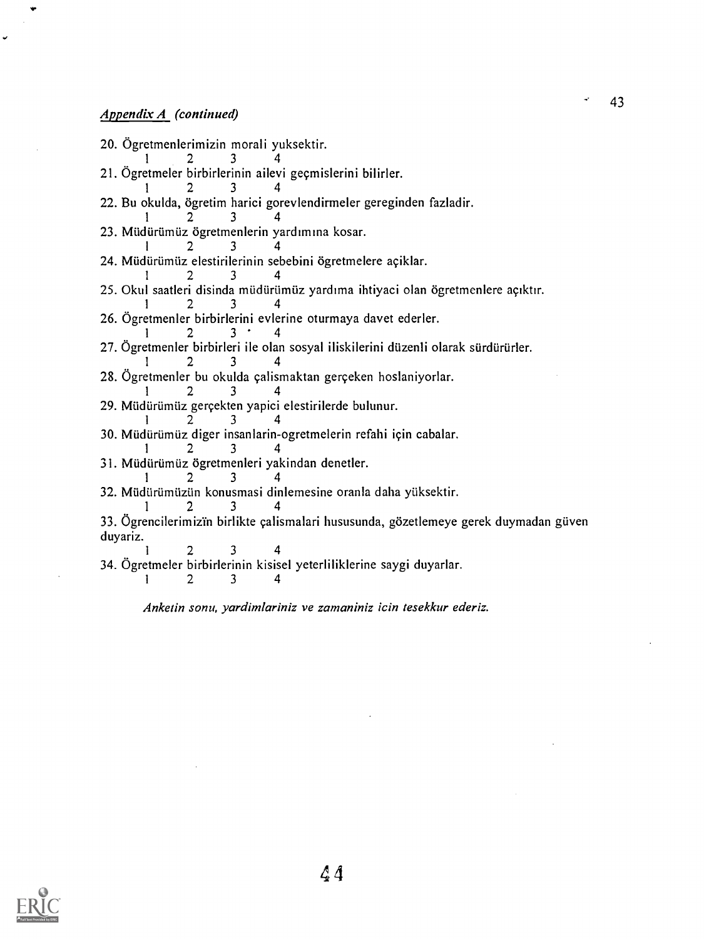## Appendix A (continued)

20. Ogretmenlerimizin morali yuksektir.  $1 \t 2 \t 3 \t 4$ 21. Ögretmeler birbirlerinin ailevi geçmislerini bilirler. <sup>1</sup> 2 3 4 22. Bu okulda, ögretim harici gorevlendirmeler gereginden fazladir. <sup>1</sup> 2 3 4 23. Müdürümüz ögretmenlerin yardımına kosar. <sup>1</sup> 2 3 4 24. Müdürümüz elestirilerinin sebebini ögretmelere açiklar. <sup>1</sup> 2 3 4 25. Okul saatleri disinda müdürümüz yardıma ihtiyaci olan ögretmenlere açıktır. <sup>1</sup> 2 3 4 26. Ogretmenler birbirierini evlerine oturmaya davet ederler.  $1$  2 3  $4$ 27. Ögretmenler birbirleri ile olan sosyal iliskilerini düzenli olarak sürdürürler. <sup>1</sup> 2 3 4 28. Ögretmenler bu okulda çalismaktan gerçeken hoslaniyorlar. <sup>1</sup> 2 3 4 29. Müdürümüz gerçekten yapici elestirilerde bulunur. <sup>1</sup> 2 3 4 30. Müdürümüz diger insanlarin-ogretmelerin refahi için cabalar. <sup>1</sup> 2 3 4 31. Müdürümüz ögretmenleri yakindan denetler. <sup>1</sup> 2 3 4 32. Müdürümüzün konusmasi dinlemesine oranla daha yüksektir. <sup>1</sup> 2 3 4 33. Ögrencilerimizin birlikte çalismalari hususunda, gözetlemeye gerek duymadan güven duyariz. <sup>1</sup> 2 3 4 34. Ögretmeler birbirlerinin kisisel yeterliliklerine saygi duyarlar.<br> $\frac{1}{2}$  3 4 <sup>1</sup> 2 3 4

Anketin sonu, yardimlariniz ye zamaniniz icin tesekkur ederiz.



 $A<sub>4</sub>$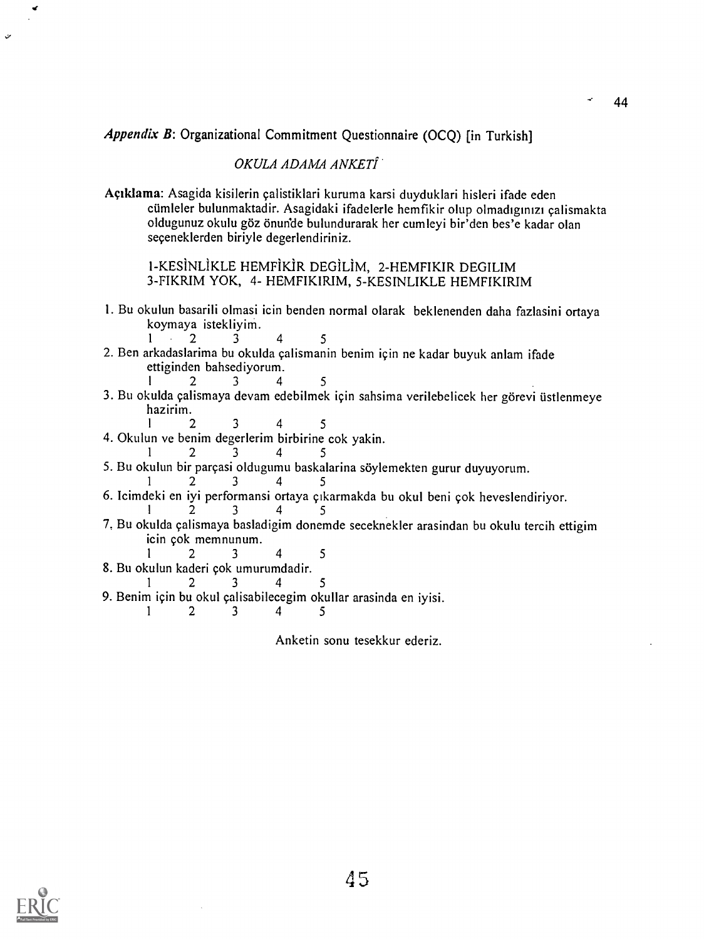Appendix B: Organizational Commitment Questionnaire (OCQ) [in Turkish]

## OKULA ADAMA ANKETI

Agiklama: Asagida kisilerin calistiklari kuruma karsi duyduklari hisleri ifade eden cümleler bulunmaktadir. Asagidaki ifadelerle hemfikir olup olmadıgınızı çalismakta oldugunuz okulu göz önun'de bulundurarak her cumleyi bir'den bes'e kadar olan seceneklerden biriyle degerlendiriniz.

1-KESINLIKLE HEMFiKiR DEG1LIM, 2-HEMFIKIR DEGILIM 3-FIKRIM YOK, 4- HEMFIKIRIM, 5-KESINLIKLE HEMFIKIRIM

- I. Bu okulun basarili olmasi icin benden normal olarak beklenenden daha fazlasini ortaya koymaya istekliyim.
- <sup>1</sup> 2 3 4 5 2. Ben arkadaslarima bu okulda calismanin benim icin ne kadar buyuk anlam ifade ettiginden bahsediyorum.<br> $\begin{array}{ccc} 1 & 2 & 3 & 4 \end{array}$
- 2 3 4 5 3. Bu okulda çalismaya devam edebilmek için sahsima verilebelicek her görevi üstlenmeye hazirim.
	- 2 3 4 5
- 4. Okulun ye benim degerlerim birbirine cok yakin.

$$
1 \qquad 2 \qquad 3 \qquad 4 \qquad 5
$$

5. Bu okulun bir parçasi oldugumu baskalarina söylemekten gurur duyuyorum.

$$
1 \qquad 2 \qquad 3 \qquad 4 \qquad 5
$$

- 6. Icimdeki en iyi performansi ortaya cikarmakda bu okul beni cok heveslendiriyor.
- <sup>1</sup> 2 3 4 5 7, Bu okulda calismaya basladigim donemde seceknekler arasindan bu okulu tercih ettigim icin cok memnunum.
- <sup>1</sup> 2 3 4 5
- 8. Bu okulun kaderi cok umurumdadir.
- 2 3 4 5
- 9. Benim için bu okul çalisabilecegim okullar arasinda en iyisi.<br> $\frac{1}{2}$   $\frac{2}{3}$   $\frac{3}{4}$   $\frac{4}{5}$ 
	- <sup>1</sup> 2 3 4 5

Anketin sonu tesekkur ederiz.

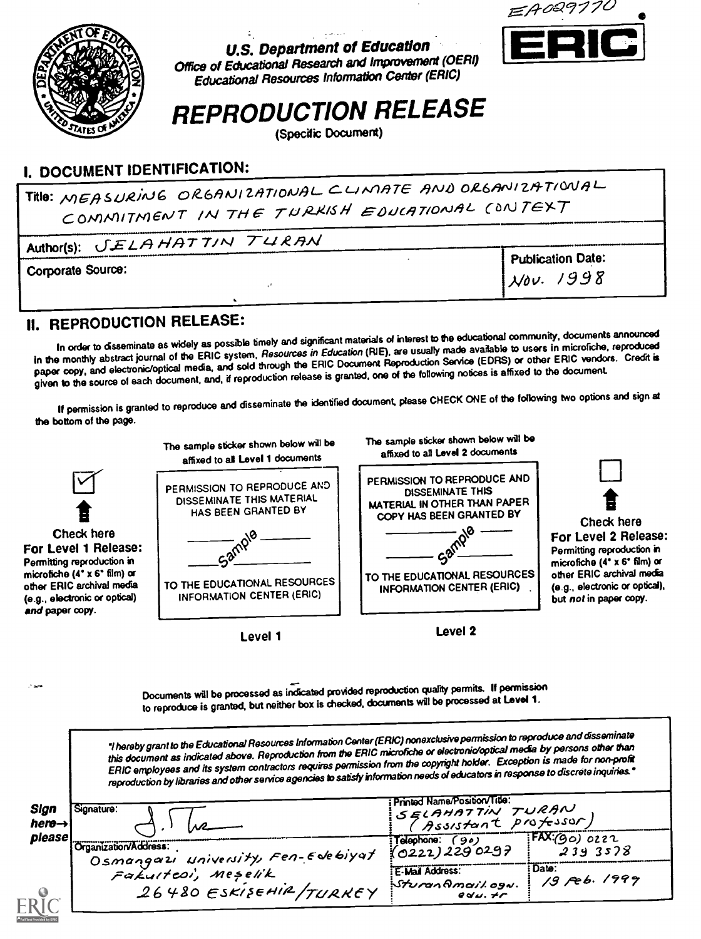

المتعاطين U.S. Department of Education



Office of Educational Research and Improvement (OERI) Educational Resources Information Center (ERIC)

# REPRODUCTION RELEASE

(Specdic Document)

# I. DOCUMENT IDENTIFICATION:

Title: MEASURING ORGANIZATIONAL CLIMATE AND ORGANIZATIONAL COMMITMENT IN THE TURKISH EDUCATIONAL CONTEXT

| Author(s): <b>JELAHATTIN</b> TURAN |                                |
|------------------------------------|--------------------------------|
|                                    | <sup>1</sup> Publication Date: |
| Corporate Source:                  | $\mathcal{N}ov.$ 1998          |
|                                    |                                |
|                                    |                                |

# II. REPRODUCTION RELEASE:

In order to dsseminate as widely as possible timely and significant materials of interest to the educational community, documents announced In the monthly abstract journal of the ERIC system, Resources in Education (RIE), are usually made available to users in microfiche, reproduced paper copy, and electronic/optical media, and sold through the ERIC Document Reproduction Service (EDRS) or other ERIC vendors. Credit is given to the source of each document, and, if reproduction release is granted, one of the following notices is affixed to the document.

If permission is granted to reproduce and disseminate the identified document, please CHECK ONE of the following two options and sign at the bottom of the page.



Documents will be processed as indicated provided reproduction quality permits. If permission to reproduce is granted, but neither box is checked, documents will be processed at Level 1.

hereby grant to the Educational Resources Information Center(ERIC)nonexclusivepermission to reproduce and cfisseminate this document as indicated above. Reproduction from the ERIC microfiche or electroniotoptical media by persons other than ERIC employees and its system contractors requires permission from the copyright holder. Exception is made for non-profit reproduction by libraries and other service agencies to satisfy information needs of educators in response to discrete inquiries.

| please                                                      | (90)<br>Telephone:                     | $TAX(go)$ 0222             |
|-------------------------------------------------------------|----------------------------------------|----------------------------|
| Organization/Address:<br>Osmangarı university, Fen-Edebiyat | (0222)2290297                          | 2393578                    |
| Fakulteoi, Meșelik<br>26480 ESKISEHIR/TURKEY                | E-Mail Address:<br>35/2<br>$QQ$ $U, H$ | : Date:<br>$1/9$ Feb. 1999 |